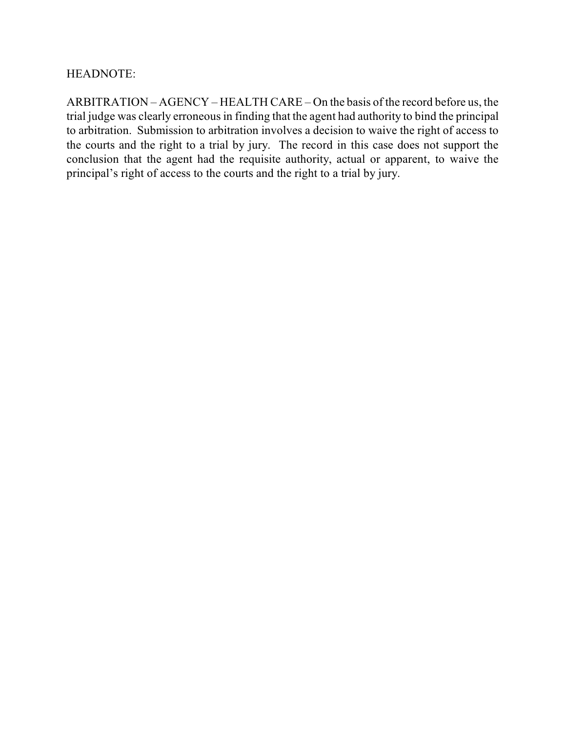## HEADNOTE:

ARBITRATION – AGENCY – HEALTH CARE – On the basis of the record before us, the trial judge was clearly erroneous in finding that the agent had authority to bind the principal to arbitration. Submission to arbitration involves a decision to waive the right of access to the courts and the right to a trial by jury. The record in this case does not support the conclusion that the agent had the requisite authority, actual or apparent, to waive the principal's right of access to the courts and the right to a trial by jury.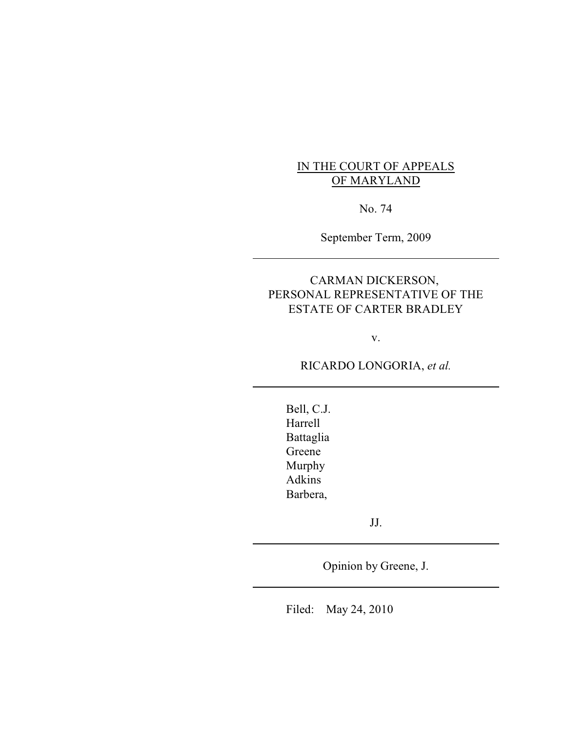# IN THE COURT OF APPEALS OF MARYLAND

No. 74

September Term, 2009

## CARMAN DICKERSON, PERSONAL REPRESENTATIVE OF THE ESTATE OF CARTER BRADLEY

v.

RICARDO LONGORIA, *et al.*

Bell, C.J. Harrell Battaglia Greene Murphy Adkins Barbera,

JJ.

Opinion by Greene, J.

Filed: May 24, 2010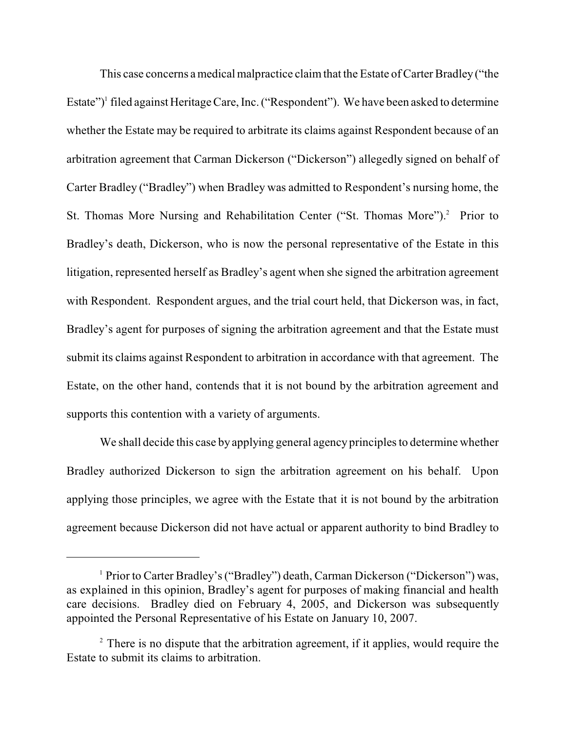This case concerns a medical malpractice claim that the Estate of Carter Bradley ("the Estate")<sup>1</sup> filed against Heritage Care, Inc. ("Respondent"). We have been asked to determine whether the Estate may be required to arbitrate its claims against Respondent because of an arbitration agreement that Carman Dickerson ("Dickerson") allegedly signed on behalf of Carter Bradley ("Bradley") when Bradley was admitted to Respondent's nursing home, the St. Thomas More Nursing and Rehabilitation Center ("St. Thomas More").<sup>2</sup> Prior to Bradley's death, Dickerson, who is now the personal representative of the Estate in this litigation, represented herself as Bradley's agent when she signed the arbitration agreement with Respondent. Respondent argues, and the trial court held, that Dickerson was, in fact, Bradley's agent for purposes of signing the arbitration agreement and that the Estate must submit its claims against Respondent to arbitration in accordance with that agreement. The Estate, on the other hand, contends that it is not bound by the arbitration agreement and supports this contention with a variety of arguments.

We shall decide this case by applying general agency principles to determine whether Bradley authorized Dickerson to sign the arbitration agreement on his behalf. Upon applying those principles, we agree with the Estate that it is not bound by the arbitration agreement because Dickerson did not have actual or apparent authority to bind Bradley to

<sup>&</sup>lt;sup>1</sup> Prior to Carter Bradley's ("Bradley") death, Carman Dickerson ("Dickerson") was, as explained in this opinion, Bradley's agent for purposes of making financial and health care decisions. Bradley died on February 4, 2005, and Dickerson was subsequently appointed the Personal Representative of his Estate on January 10, 2007.

 $2^2$  There is no dispute that the arbitration agreement, if it applies, would require the Estate to submit its claims to arbitration.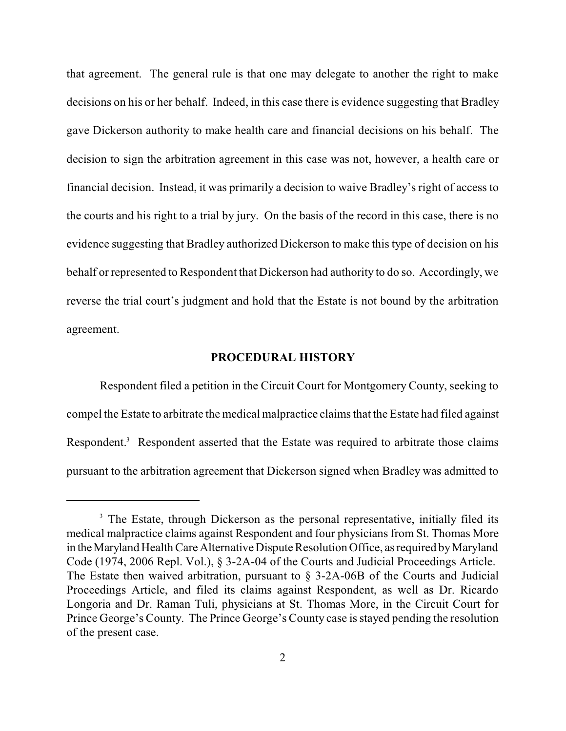that agreement. The general rule is that one may delegate to another the right to make decisions on his or her behalf. Indeed, in this case there is evidence suggesting that Bradley gave Dickerson authority to make health care and financial decisions on his behalf. The decision to sign the arbitration agreement in this case was not, however, a health care or financial decision. Instead, it was primarily a decision to waive Bradley's right of access to the courts and his right to a trial by jury. On the basis of the record in this case, there is no evidence suggesting that Bradley authorized Dickerson to make this type of decision on his behalf or represented to Respondent that Dickerson had authority to do so. Accordingly, we reverse the trial court's judgment and hold that the Estate is not bound by the arbitration agreement.

#### **PROCEDURAL HISTORY**

Respondent filed a petition in the Circuit Court for Montgomery County, seeking to compel the Estate to arbitrate the medical malpractice claims that the Estate had filed against Respondent.<sup>3</sup> Respondent asserted that the Estate was required to arbitrate those claims pursuant to the arbitration agreement that Dickerson signed when Bradley was admitted to

<sup>&</sup>lt;sup>3</sup> The Estate, through Dickerson as the personal representative, initially filed its medical malpractice claims against Respondent and four physicians from St. Thomas More in the Maryland Health Care Alternative Dispute Resolution Office, as required by Maryland Code (1974, 2006 Repl. Vol.), § 3-2A-04 of the Courts and Judicial Proceedings Article. The Estate then waived arbitration, pursuant to § 3-2A-06B of the Courts and Judicial Proceedings Article, and filed its claims against Respondent, as well as Dr. Ricardo Longoria and Dr. Raman Tuli, physicians at St. Thomas More, in the Circuit Court for Prince George's County. The Prince George's County case is stayed pending the resolution of the present case.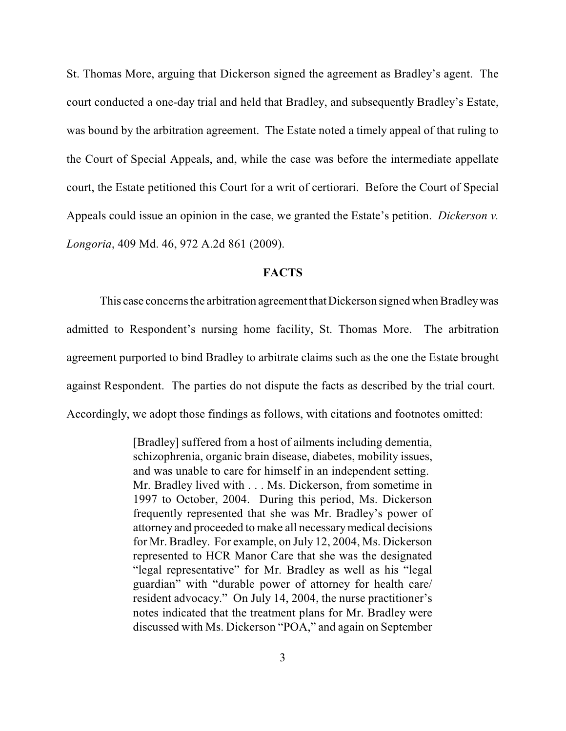St. Thomas More, arguing that Dickerson signed the agreement as Bradley's agent. The court conducted a one-day trial and held that Bradley, and subsequently Bradley's Estate, was bound by the arbitration agreement. The Estate noted a timely appeal of that ruling to the Court of Special Appeals, and, while the case was before the intermediate appellate court, the Estate petitioned this Court for a writ of certiorari. Before the Court of Special Appeals could issue an opinion in the case, we granted the Estate's petition. *Dickerson v. Longoria*, 409 Md. 46, 972 A.2d 861 (2009).

## **FACTS**

This case concerns the arbitration agreement that Dickerson signed when Bradley was admitted to Respondent's nursing home facility, St. Thomas More. The arbitration agreement purported to bind Bradley to arbitrate claims such as the one the Estate brought against Respondent. The parties do not dispute the facts as described by the trial court. Accordingly, we adopt those findings as follows, with citations and footnotes omitted:

> [Bradley] suffered from a host of ailments including dementia, schizophrenia, organic brain disease, diabetes, mobility issues, and was unable to care for himself in an independent setting. Mr. Bradley lived with . . . Ms. Dickerson, from sometime in 1997 to October, 2004. During this period, Ms. Dickerson frequently represented that she was Mr. Bradley's power of attorney and proceeded to make all necessarymedical decisions for Mr. Bradley. For example, on July 12, 2004, Ms. Dickerson represented to HCR Manor Care that she was the designated "legal representative" for Mr. Bradley as well as his "legal guardian" with "durable power of attorney for health care/ resident advocacy." On July 14, 2004, the nurse practitioner's notes indicated that the treatment plans for Mr. Bradley were discussed with Ms. Dickerson "POA," and again on September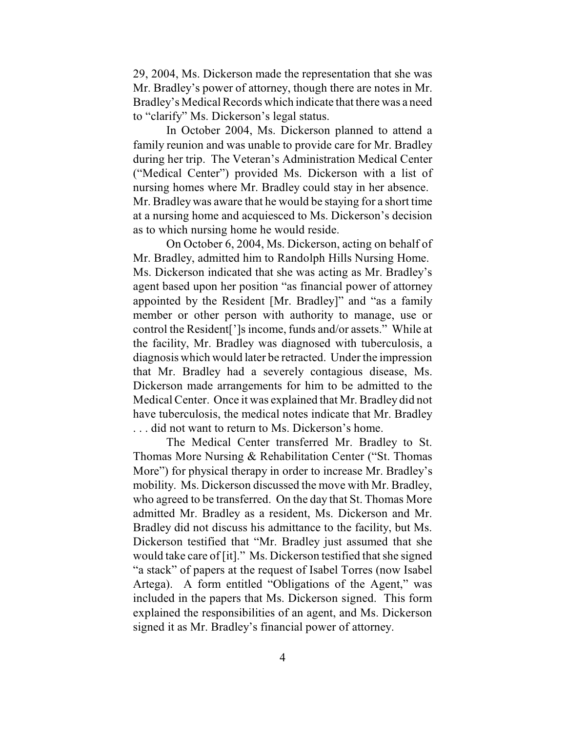29, 2004, Ms. Dickerson made the representation that she was Mr. Bradley's power of attorney, though there are notes in Mr. Bradley's Medical Records which indicate that there was a need to "clarify" Ms. Dickerson's legal status.

In October 2004, Ms. Dickerson planned to attend a family reunion and was unable to provide care for Mr. Bradley during her trip. The Veteran's Administration Medical Center ("Medical Center") provided Ms. Dickerson with a list of nursing homes where Mr. Bradley could stay in her absence. Mr. Bradley was aware that he would be staying for a short time at a nursing home and acquiesced to Ms. Dickerson's decision as to which nursing home he would reside.

On October 6, 2004, Ms. Dickerson, acting on behalf of Mr. Bradley, admitted him to Randolph Hills Nursing Home. Ms. Dickerson indicated that she was acting as Mr. Bradley's agent based upon her position "as financial power of attorney appointed by the Resident [Mr. Bradley]" and "as a family member or other person with authority to manage, use or control the Resident[']s income, funds and/or assets." While at the facility, Mr. Bradley was diagnosed with tuberculosis, a diagnosis which would later be retracted. Under the impression that Mr. Bradley had a severely contagious disease, Ms. Dickerson made arrangements for him to be admitted to the Medical Center. Once it was explained that Mr. Bradley did not have tuberculosis, the medical notes indicate that Mr. Bradley . . . did not want to return to Ms. Dickerson's home.

The Medical Center transferred Mr. Bradley to St. Thomas More Nursing & Rehabilitation Center ("St. Thomas More") for physical therapy in order to increase Mr. Bradley's mobility. Ms. Dickerson discussed the move with Mr. Bradley, who agreed to be transferred. On the day that St. Thomas More admitted Mr. Bradley as a resident, Ms. Dickerson and Mr. Bradley did not discuss his admittance to the facility, but Ms. Dickerson testified that "Mr. Bradley just assumed that she would take care of [it]." Ms. Dickerson testified that she signed "a stack" of papers at the request of Isabel Torres (now Isabel Artega). A form entitled "Obligations of the Agent," was included in the papers that Ms. Dickerson signed. This form explained the responsibilities of an agent, and Ms. Dickerson signed it as Mr. Bradley's financial power of attorney.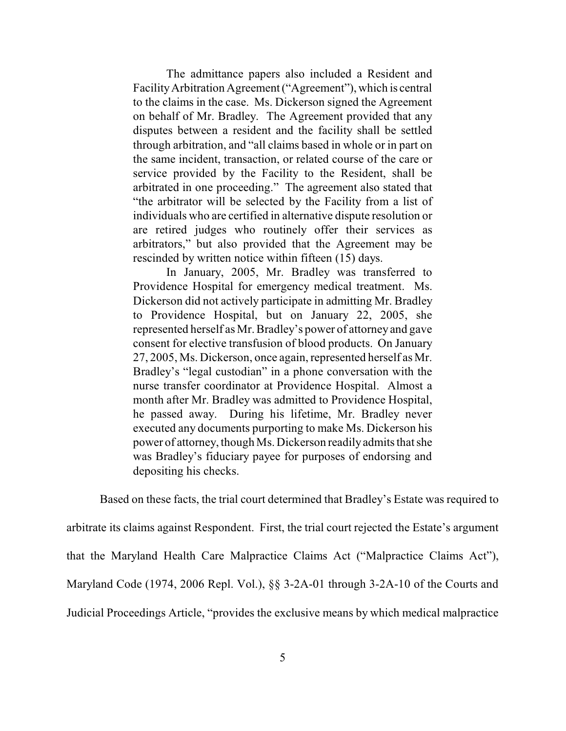The admittance papers also included a Resident and FacilityArbitration Agreement ("Agreement"), which is central to the claims in the case. Ms. Dickerson signed the Agreement on behalf of Mr. Bradley. The Agreement provided that any disputes between a resident and the facility shall be settled through arbitration, and "all claims based in whole or in part on the same incident, transaction, or related course of the care or service provided by the Facility to the Resident, shall be arbitrated in one proceeding." The agreement also stated that "the arbitrator will be selected by the Facility from a list of individuals who are certified in alternative dispute resolution or are retired judges who routinely offer their services as arbitrators," but also provided that the Agreement may be rescinded by written notice within fifteen (15) days.

In January, 2005, Mr. Bradley was transferred to Providence Hospital for emergency medical treatment. Ms. Dickerson did not actively participate in admitting Mr. Bradley to Providence Hospital, but on January 22, 2005, she represented herself as Mr. Bradley's power of attorney and gave consent for elective transfusion of blood products. On January 27, 2005, Ms. Dickerson, once again, represented herself as Mr. Bradley's "legal custodian" in a phone conversation with the nurse transfer coordinator at Providence Hospital. Almost a month after Mr. Bradley was admitted to Providence Hospital, he passed away. During his lifetime, Mr. Bradley never executed any documents purporting to make Ms. Dickerson his power of attorney, though Ms. Dickerson readilyadmits that she was Bradley's fiduciary payee for purposes of endorsing and depositing his checks.

Based on these facts, the trial court determined that Bradley's Estate was required to arbitrate its claims against Respondent. First, the trial court rejected the Estate's argument that the Maryland Health Care Malpractice Claims Act ("Malpractice Claims Act"), Maryland Code (1974, 2006 Repl. Vol.), §§ 3-2A-01 through 3-2A-10 of the Courts and Judicial Proceedings Article, "provides the exclusive means by which medical malpractice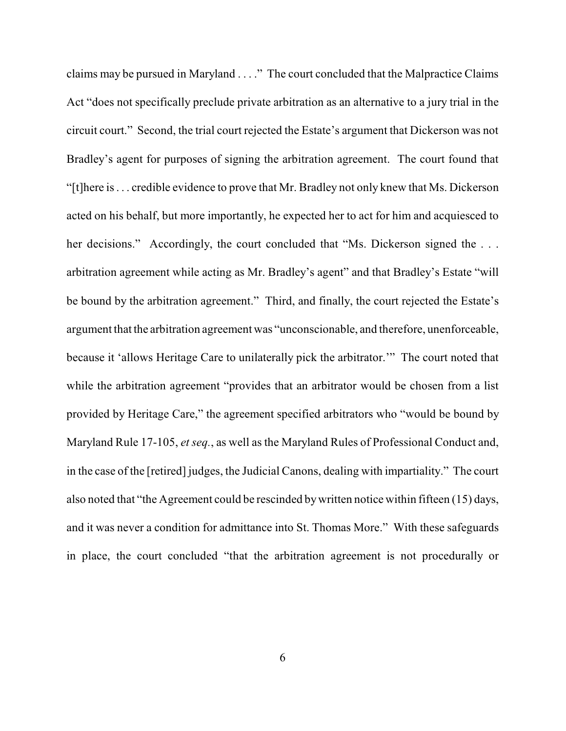claims may be pursued in Maryland . . . ." The court concluded that the Malpractice Claims Act "does not specifically preclude private arbitration as an alternative to a jury trial in the circuit court." Second, the trial court rejected the Estate's argument that Dickerson was not Bradley's agent for purposes of signing the arbitration agreement. The court found that "[t]here is . . . credible evidence to prove that Mr. Bradley not only knew that Ms. Dickerson acted on his behalf, but more importantly, he expected her to act for him and acquiesced to her decisions." Accordingly, the court concluded that "Ms. Dickerson signed the ... arbitration agreement while acting as Mr. Bradley's agent" and that Bradley's Estate "will be bound by the arbitration agreement." Third, and finally, the court rejected the Estate's argument that the arbitration agreement was "unconscionable, and therefore, unenforceable, because it 'allows Heritage Care to unilaterally pick the arbitrator.'" The court noted that while the arbitration agreement "provides that an arbitrator would be chosen from a list provided by Heritage Care," the agreement specified arbitrators who "would be bound by Maryland Rule 17-105, *et seq.*, as well as the Maryland Rules of Professional Conduct and, in the case of the [retired] judges, the Judicial Canons, dealing with impartiality." The court also noted that "the Agreement could be rescinded bywritten notice within fifteen (15) days, and it was never a condition for admittance into St. Thomas More." With these safeguards in place, the court concluded "that the arbitration agreement is not procedurally or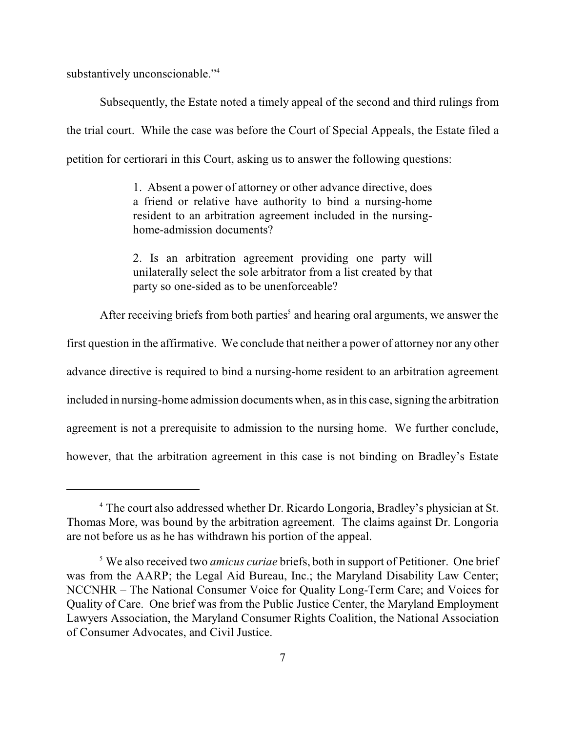substantively unconscionable."<sup>4</sup>

Subsequently, the Estate noted a timely appeal of the second and third rulings from the trial court. While the case was before the Court of Special Appeals, the Estate filed a petition for certiorari in this Court, asking us to answer the following questions:

> 1. Absent a power of attorney or other advance directive, does a friend or relative have authority to bind a nursing-home resident to an arbitration agreement included in the nursinghome-admission documents?

> 2. Is an arbitration agreement providing one party will unilaterally select the sole arbitrator from a list created by that party so one-sided as to be unenforceable?

After receiving briefs from both parties $\delta$  and hearing oral arguments, we answer the

first question in the affirmative. We conclude that neither a power of attorney nor any other advance directive is required to bind a nursing-home resident to an arbitration agreement included in nursing-home admission documents when, as in this case, signing the arbitration agreement is not a prerequisite to admission to the nursing home. We further conclude, however, that the arbitration agreement in this case is not binding on Bradley's Estate

<sup>&</sup>lt;sup>4</sup> The court also addressed whether Dr. Ricardo Longoria, Bradley's physician at St. Thomas More, was bound by the arbitration agreement. The claims against Dr. Longoria are not before us as he has withdrawn his portion of the appeal.

<sup>&</sup>lt;sup>5</sup> We also received two *amicus curiae* briefs, both in support of Petitioner. One brief was from the AARP; the Legal Aid Bureau, Inc.; the Maryland Disability Law Center; NCCNHR – The National Consumer Voice for Quality Long-Term Care; and Voices for Quality of Care. One brief was from the Public Justice Center, the Maryland Employment Lawyers Association, the Maryland Consumer Rights Coalition, the National Association of Consumer Advocates, and Civil Justice.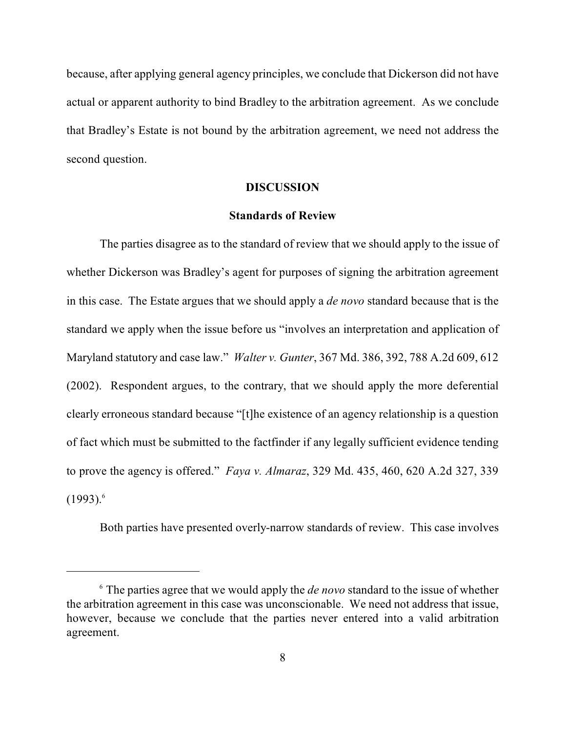because, after applying general agency principles, we conclude that Dickerson did not have actual or apparent authority to bind Bradley to the arbitration agreement. As we conclude that Bradley's Estate is not bound by the arbitration agreement, we need not address the second question.

### **DISCUSSION**

### **Standards of Review**

The parties disagree as to the standard of review that we should apply to the issue of whether Dickerson was Bradley's agent for purposes of signing the arbitration agreement in this case. The Estate argues that we should apply a *de novo* standard because that is the standard we apply when the issue before us "involves an interpretation and application of Maryland statutory and case law." *Walter v. Gunter*, 367 Md. 386, 392, 788 A.2d 609, 612 (2002). Respondent argues, to the contrary, that we should apply the more deferential clearly erroneous standard because "[t]he existence of an agency relationship is a question of fact which must be submitted to the factfinder if any legally sufficient evidence tending to prove the agency is offered." *Faya v. Almaraz*, 329 Md. 435, 460, 620 A.2d 327, 339  $(1993)^6$ 

Both parties have presented overly-narrow standards of review. This case involves

 $\delta$  The parties agree that we would apply the *de novo* standard to the issue of whether the arbitration agreement in this case was unconscionable. We need not address that issue, however, because we conclude that the parties never entered into a valid arbitration agreement.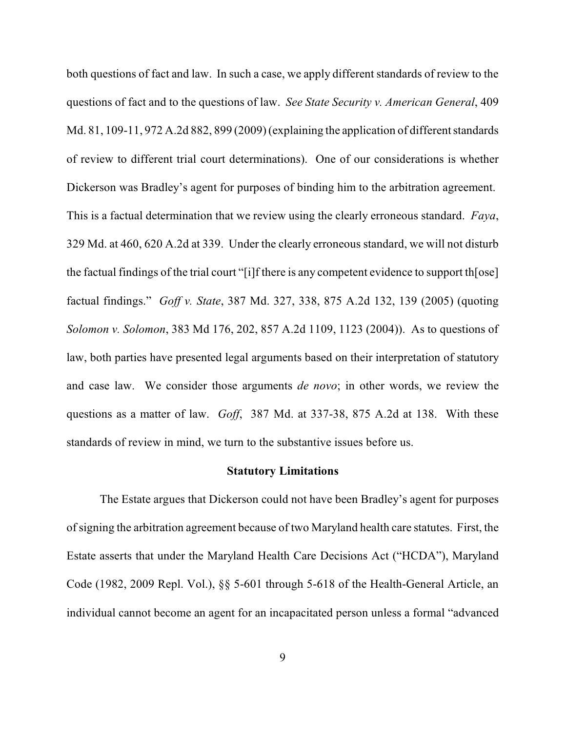both questions of fact and law. In such a case, we apply different standards of review to the questions of fact and to the questions of law. *See State Security v. American General*, 409 Md. 81, 109-11, 972 A.2d 882, 899 (2009) (explaining the application of different standards of review to different trial court determinations). One of our considerations is whether Dickerson was Bradley's agent for purposes of binding him to the arbitration agreement. This is a factual determination that we review using the clearly erroneous standard. *Faya*, 329 Md. at 460, 620 A.2d at 339. Under the clearly erroneous standard, we will not disturb the factual findings of the trial court "[i]f there is any competent evidence to support th[ose] factual findings." *Goff v. State*, 387 Md. 327, 338, 875 A.2d 132, 139 (2005) (quoting *Solomon v. Solomon*, 383 Md 176, 202, 857 A.2d 1109, 1123 (2004)). As to questions of law, both parties have presented legal arguments based on their interpretation of statutory and case law. We consider those arguments *de novo*; in other words, we review the questions as a matter of law. *Goff*, 387 Md. at 337-38, 875 A.2d at 138. With these standards of review in mind, we turn to the substantive issues before us.

#### **Statutory Limitations**

The Estate argues that Dickerson could not have been Bradley's agent for purposes ofsigning the arbitration agreement because of two Maryland health care statutes. First, the Estate asserts that under the Maryland Health Care Decisions Act ("HCDA"), Maryland Code (1982, 2009 Repl. Vol.), §§ 5-601 through 5-618 of the Health-General Article, an individual cannot become an agent for an incapacitated person unless a formal "advanced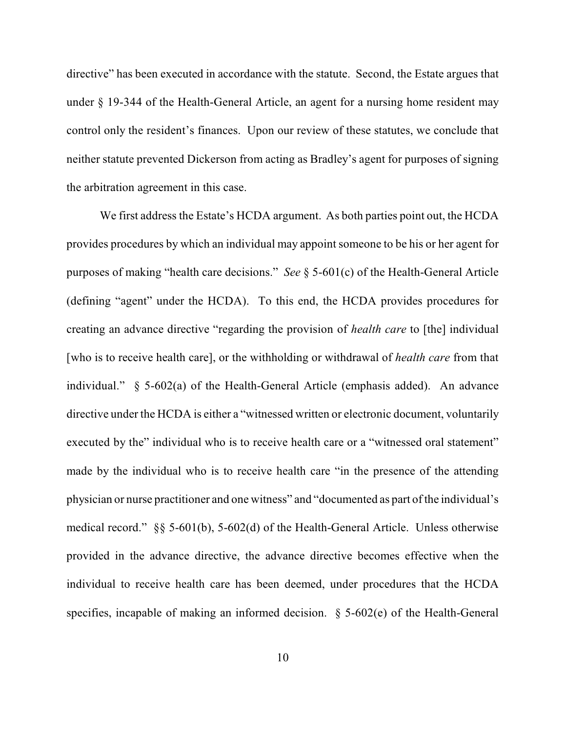directive" has been executed in accordance with the statute. Second, the Estate argues that under § 19-344 of the Health-General Article, an agent for a nursing home resident may control only the resident's finances. Upon our review of these statutes, we conclude that neither statute prevented Dickerson from acting as Bradley's agent for purposes of signing the arbitration agreement in this case.

We first address the Estate's HCDA argument. As both parties point out, the HCDA provides procedures by which an individual may appoint someone to be his or her agent for purposes of making "health care decisions." *See* § 5-601(c) of the Health-General Article (defining "agent" under the HCDA). To this end, the HCDA provides procedures for creating an advance directive "regarding the provision of *health care* to [the] individual [who is to receive health care], or the withholding or withdrawal of *health care* from that individual." § 5-602(a) of the Health-General Article (emphasis added). An advance directive under the HCDA is either a "witnessed written or electronic document, voluntarily executed by the" individual who is to receive health care or a "witnessed oral statement" made by the individual who is to receive health care "in the presence of the attending physician or nurse practitioner and one witness" and "documented as part of the individual's medical record." §§ 5-601(b), 5-602(d) of the Health-General Article. Unless otherwise provided in the advance directive, the advance directive becomes effective when the individual to receive health care has been deemed, under procedures that the HCDA specifies, incapable of making an informed decision. § 5-602(e) of the Health-General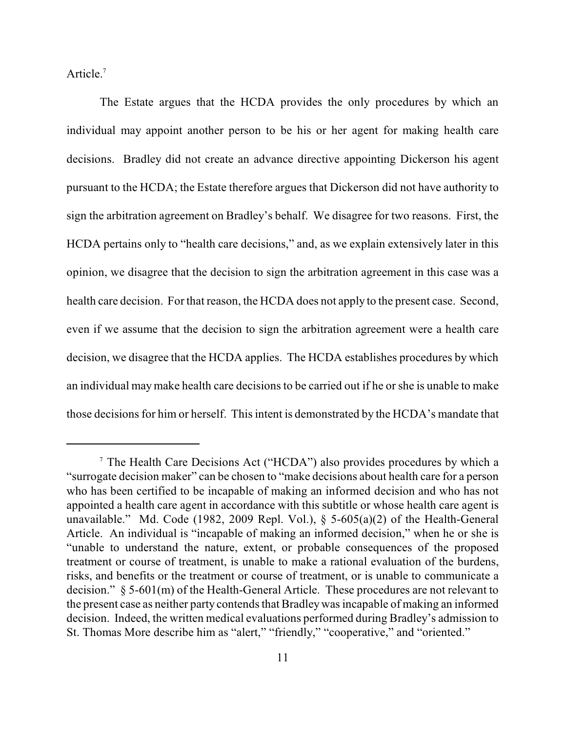Article.<sup>7</sup>

The Estate argues that the HCDA provides the only procedures by which an individual may appoint another person to be his or her agent for making health care decisions. Bradley did not create an advance directive appointing Dickerson his agent pursuant to the HCDA; the Estate therefore argues that Dickerson did not have authority to sign the arbitration agreement on Bradley's behalf. We disagree for two reasons. First, the HCDA pertains only to "health care decisions," and, as we explain extensively later in this opinion, we disagree that the decision to sign the arbitration agreement in this case was a health care decision. For that reason, the HCDA does not apply to the present case. Second, even if we assume that the decision to sign the arbitration agreement were a health care decision, we disagree that the HCDA applies. The HCDA establishes procedures by which an individual maymake health care decisions to be carried out if he or she is unable to make those decisions for him or herself. This intent is demonstrated by the HCDA's mandate that

 $\textsuperscript{7}$  The Health Care Decisions Act ("HCDA") also provides procedures by which a "surrogate decision maker" can be chosen to "make decisions about health care for a person who has been certified to be incapable of making an informed decision and who has not appointed a health care agent in accordance with this subtitle or whose health care agent is unavailable." Md. Code (1982, 2009 Repl. Vol.), § 5-605(a)(2) of the Health-General Article. An individual is "incapable of making an informed decision," when he or she is "unable to understand the nature, extent, or probable consequences of the proposed treatment or course of treatment, is unable to make a rational evaluation of the burdens, risks, and benefits or the treatment or course of treatment, or is unable to communicate a decision." § 5-601(m) of the Health-General Article. These procedures are not relevant to the present case as neither party contends that Bradleywas incapable of making an informed decision. Indeed, the written medical evaluations performed during Bradley's admission to St. Thomas More describe him as "alert," "friendly," "cooperative," and "oriented."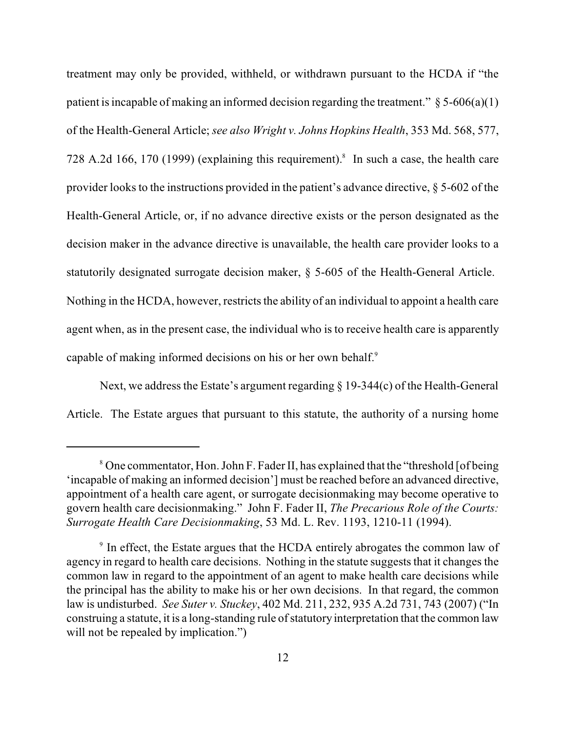treatment may only be provided, withheld, or withdrawn pursuant to the HCDA if "the patient is incapable of making an informed decision regarding the treatment."  $\S 5-606(a)(1)$ of the Health-General Article; *see also Wright v. Johns Hopkins Health*, 353 Md. 568, 577, 728 A.2d 166, 170 (1999) (explaining this requirement).<sup>8</sup> In such a case, the health care provider looks to the instructions provided in the patient's advance directive, § 5-602 of the Health-General Article, or, if no advance directive exists or the person designated as the decision maker in the advance directive is unavailable, the health care provider looks to a statutorily designated surrogate decision maker, § 5-605 of the Health-General Article. Nothing in the HCDA, however, restricts the ability of an individual to appoint a health care agent when, as in the present case, the individual who is to receive health care is apparently capable of making informed decisions on his or her own behalf.<sup>9</sup>

Next, we address the Estate's argument regarding  $\S$  19-344(c) of the Health-General Article. The Estate argues that pursuant to this statute, the authority of a nursing home

<sup>&</sup>lt;sup>8</sup> One commentator, Hon. John F. Fader II, has explained that the "threshold [of being 'incapable of making an informed decision'] must be reached before an advanced directive, appointment of a health care agent, or surrogate decisionmaking may become operative to govern health care decisionmaking." John F. Fader II, *The Precarious Role of the Courts: Surrogate Health Care Decisionmaking*, 53 Md. L. Rev. 1193, 1210-11 (1994).

 $\beta$  In effect, the Estate argues that the HCDA entirely abrogates the common law of agency in regard to health care decisions. Nothing in the statute suggests that it changes the common law in regard to the appointment of an agent to make health care decisions while the principal has the ability to make his or her own decisions. In that regard, the common law is undisturbed. *See Suter v. Stuckey*, 402 Md. 211, 232, 935 A.2d 731, 743 (2007) ("In construing a statute, it is a long-standing rule of statutory interpretation that the common law will not be repealed by implication."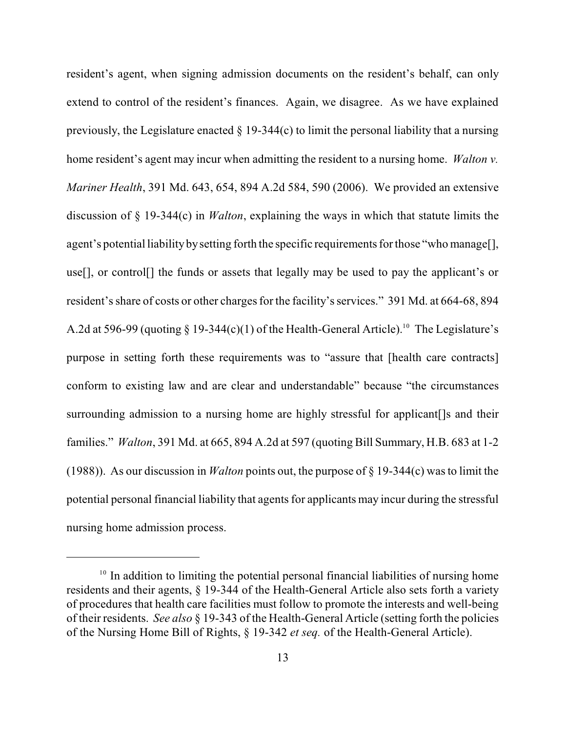resident's agent, when signing admission documents on the resident's behalf, can only extend to control of the resident's finances. Again, we disagree. As we have explained previously, the Legislature enacted  $\S$  19-344(c) to limit the personal liability that a nursing home resident's agent may incur when admitting the resident to a nursing home. *Walton v. Mariner Health*, 391 Md. 643, 654, 894 A.2d 584, 590 (2006). We provided an extensive discussion of § 19-344(c) in *Walton*, explaining the ways in which that statute limits the agent's potential liability by setting forth the specific requirements for those "who manage[], use[], or control[] the funds or assets that legally may be used to pay the applicant's or resident's share of costs or other charges for the facility's services." 391 Md. at 664-68, 894 A.2d at 596-99 (quoting  $\S$  19-344(c)(1) of the Health-General Article).<sup>10</sup> The Legislature's purpose in setting forth these requirements was to "assure that [health care contracts] conform to existing law and are clear and understandable" because "the circumstances surrounding admission to a nursing home are highly stressful for applicant []s and their families." *Walton*, 391 Md. at 665, 894 A.2d at 597 (quoting Bill Summary, H.B. 683 at 1-2 (1988)). As our discussion in *Walton* points out, the purpose of § 19-344(c) was to limit the potential personal financial liability that agents for applicants may incur during the stressful nursing home admission process.

 $10$  In addition to limiting the potential personal financial liabilities of nursing home residents and their agents, § 19-344 of the Health-General Article also sets forth a variety of procedures that health care facilities must follow to promote the interests and well-being of their residents. *See also* § 19-343 of the Health-General Article (setting forth the policies of the Nursing Home Bill of Rights, § 19-342 *et seq.* of the Health-General Article).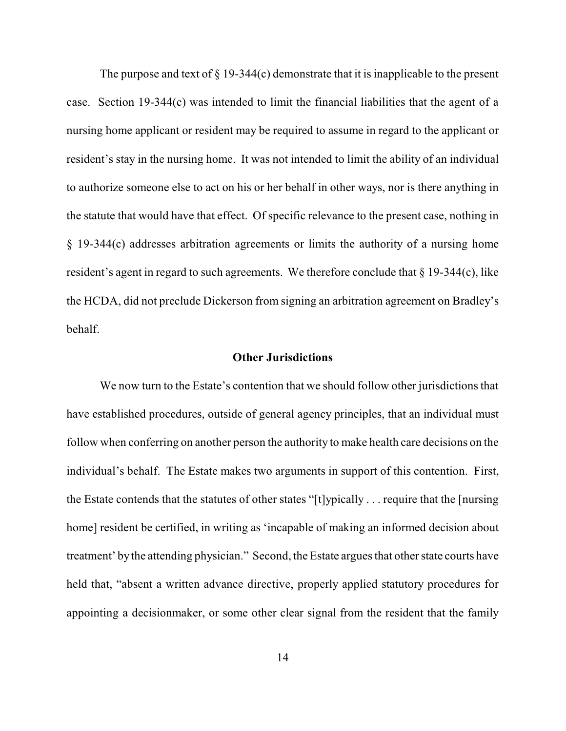The purpose and text of  $\S 19-344(c)$  demonstrate that it is inapplicable to the present case. Section 19-344(c) was intended to limit the financial liabilities that the agent of a nursing home applicant or resident may be required to assume in regard to the applicant or resident's stay in the nursing home. It was not intended to limit the ability of an individual to authorize someone else to act on his or her behalf in other ways, nor is there anything in the statute that would have that effect. Of specific relevance to the present case, nothing in § 19-344(c) addresses arbitration agreements or limits the authority of a nursing home resident's agent in regard to such agreements. We therefore conclude that § 19-344(c), like the HCDA, did not preclude Dickerson from signing an arbitration agreement on Bradley's behalf.

## **Other Jurisdictions**

We now turn to the Estate's contention that we should follow other jurisdictions that have established procedures, outside of general agency principles, that an individual must follow when conferring on another person the authority to make health care decisions on the individual's behalf. The Estate makes two arguments in support of this contention. First, the Estate contends that the statutes of other states "[t]ypically . . . require that the [nursing home] resident be certified, in writing as 'incapable of making an informed decision about treatment' bythe attending physician." Second, the Estate argues that other state courts have held that, "absent a written advance directive, properly applied statutory procedures for appointing a decisionmaker, or some other clear signal from the resident that the family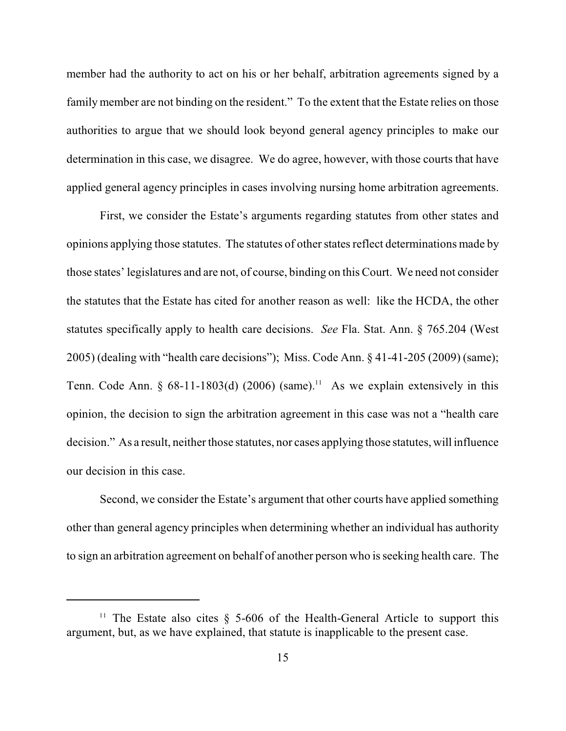member had the authority to act on his or her behalf, arbitration agreements signed by a family member are not binding on the resident." To the extent that the Estate relies on those authorities to argue that we should look beyond general agency principles to make our determination in this case, we disagree. We do agree, however, with those courts that have applied general agency principles in cases involving nursing home arbitration agreements.

First, we consider the Estate's arguments regarding statutes from other states and opinions applying those statutes. The statutes of other states reflect determinations made by those states' legislatures and are not, of course, binding on this Court. We need not consider the statutes that the Estate has cited for another reason as well: like the HCDA, the other statutes specifically apply to health care decisions. *See* Fla. Stat. Ann. § 765.204 (West 2005) (dealing with "health care decisions"); Miss. Code Ann. § 41-41-205 (2009) (same); Tenn. Code Ann. § 68-11-1803(d) (2006) (same).<sup>11</sup> As we explain extensively in this opinion, the decision to sign the arbitration agreement in this case was not a "health care decision." As a result, neither those statutes, nor cases applying those statutes, will influence our decision in this case.

Second, we consider the Estate's argument that other courts have applied something other than general agency principles when determining whether an individual has authority to sign an arbitration agreement on behalf of another person who is seeking health care. The

<sup>&</sup>lt;sup>11</sup> The Estate also cites  $\S$  5-606 of the Health-General Article to support this argument, but, as we have explained, that statute is inapplicable to the present case.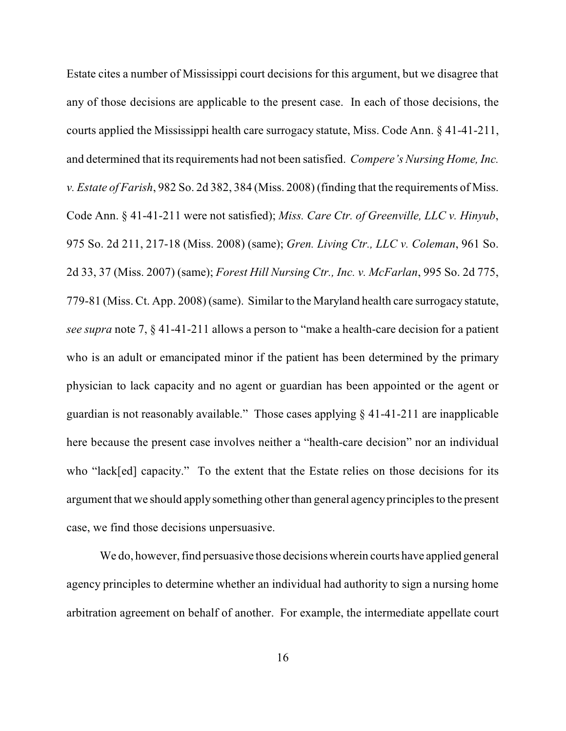Estate cites a number of Mississippi court decisions for this argument, but we disagree that any of those decisions are applicable to the present case. In each of those decisions, the courts applied the Mississippi health care surrogacy statute, Miss. Code Ann. § 41-41-211, and determined that its requirements had not been satisfied. *Compere's Nursing Home, Inc. v. Estate of Farish*, 982 So. 2d 382, 384 (Miss. 2008) (finding that the requirements of Miss. Code Ann. § 41-41-211 were not satisfied); *Miss. Care Ctr. of Greenville, LLC v. Hinyub*, 975 So. 2d 211, 217-18 (Miss. 2008) (same); *Gren. Living Ctr., LLC v. Coleman*, 961 So. 2d 33, 37 (Miss. 2007) (same); *Forest Hill Nursing Ctr., Inc. v. McFarlan*, 995 So. 2d 775, 779-81 (Miss. Ct. App. 2008) (same). Similar to the Maryland health care surrogacy statute, *see supra* note 7, § 41-41-211 allows a person to "make a health-care decision for a patient who is an adult or emancipated minor if the patient has been determined by the primary physician to lack capacity and no agent or guardian has been appointed or the agent or guardian is not reasonably available." Those cases applying § 41-41-211 are inapplicable here because the present case involves neither a "health-care decision" nor an individual who "lack[ed] capacity." To the extent that the Estate relies on those decisions for its argument that we should apply something other than general agencyprinciples to the present case, we find those decisions unpersuasive.

We do, however, find persuasive those decisions wherein courts have applied general agency principles to determine whether an individual had authority to sign a nursing home arbitration agreement on behalf of another. For example, the intermediate appellate court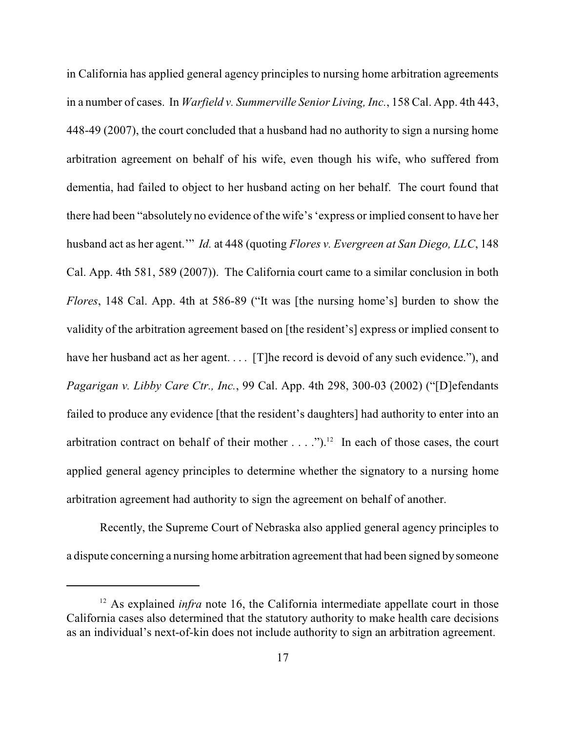in California has applied general agency principles to nursing home arbitration agreements in a number of cases. In *Warfield v. Summerville Senior Living, Inc.*, 158 Cal. App. 4th 443, 448-49 (2007), the court concluded that a husband had no authority to sign a nursing home arbitration agreement on behalf of his wife, even though his wife, who suffered from dementia, had failed to object to her husband acting on her behalf. The court found that there had been "absolutely no evidence of the wife's 'express or implied consent to have her husband act as her agent.'" *Id.* at 448 (quoting *Flores v. Evergreen at San Diego, LLC*, 148 Cal. App. 4th 581, 589 (2007)). The California court came to a similar conclusion in both *Flores*, 148 Cal. App. 4th at 586-89 ("It was [the nursing home's] burden to show the validity of the arbitration agreement based on [the resident's] express or implied consent to have her husband act as her agent. . . . [T] he record is devoid of any such evidence."), and *Pagarigan v. Libby Care Ctr., Inc.*, 99 Cal. App. 4th 298, 300-03 (2002) ("[D]efendants failed to produce any evidence [that the resident's daughters] had authority to enter into an arbitration contract on behalf of their mother  $\dots$ .  $n^{2}$  In each of those cases, the court applied general agency principles to determine whether the signatory to a nursing home arbitration agreement had authority to sign the agreement on behalf of another.

Recently, the Supreme Court of Nebraska also applied general agency principles to a dispute concerning a nursing home arbitration agreement that had been signed by someone

 $12$  As explained *infra* note 16, the California intermediate appellate court in those California cases also determined that the statutory authority to make health care decisions as an individual's next-of-kin does not include authority to sign an arbitration agreement.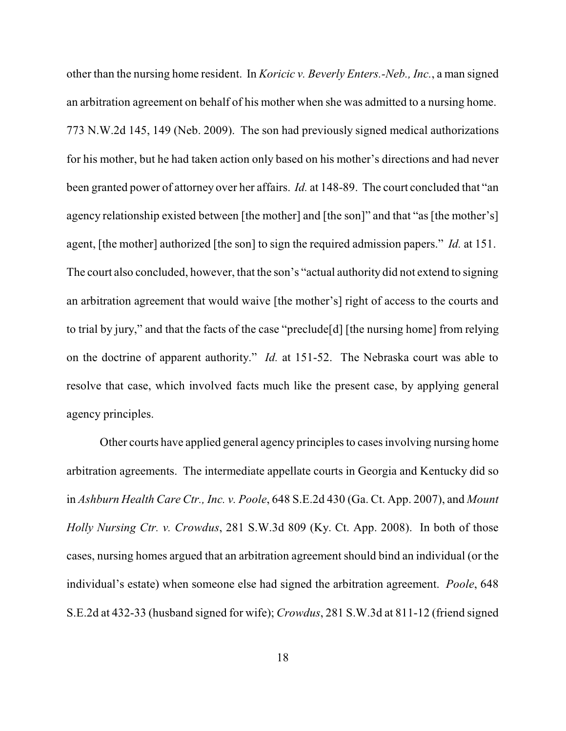other than the nursing home resident. In *Koricic v. Beverly Enters.-Neb., Inc.*, a man signed an arbitration agreement on behalf of his mother when she was admitted to a nursing home. 773 N.W.2d 145, 149 (Neb. 2009). The son had previously signed medical authorizations for his mother, but he had taken action only based on his mother's directions and had never been granted power of attorney over her affairs. *Id.* at 148-89. The court concluded that "an agency relationship existed between [the mother] and [the son]" and that "as [the mother's] agent, [the mother] authorized [the son] to sign the required admission papers." *Id.* at 151. The court also concluded, however, that the son's "actual authority did not extend to signing an arbitration agreement that would waive [the mother's] right of access to the courts and to trial by jury," and that the facts of the case "preclude[d] [the nursing home] from relying on the doctrine of apparent authority." *Id.* at 151-52. The Nebraska court was able to resolve that case, which involved facts much like the present case, by applying general agency principles.

Other courts have applied general agency principles to cases involving nursing home arbitration agreements. The intermediate appellate courts in Georgia and Kentucky did so in *Ashburn Health Care Ctr., Inc. v. Poole*, 648 S.E.2d 430 (Ga. Ct. App. 2007), and *Mount Holly Nursing Ctr. v. Crowdus*, 281 S.W.3d 809 (Ky. Ct. App. 2008). In both of those cases, nursing homes argued that an arbitration agreement should bind an individual (or the individual's estate) when someone else had signed the arbitration agreement. *Poole*, 648 S.E.2d at 432-33 (husband signed for wife); *Crowdus*, 281 S.W.3d at 811-12 (friend signed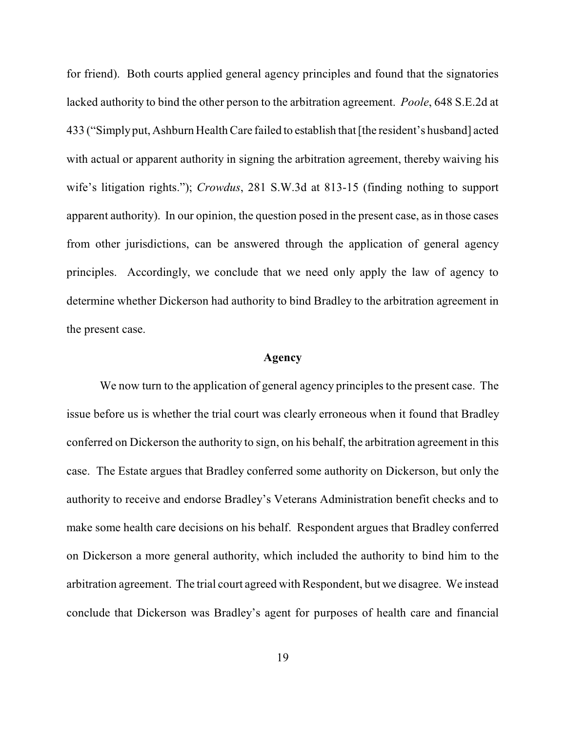for friend). Both courts applied general agency principles and found that the signatories lacked authority to bind the other person to the arbitration agreement. *Poole*, 648 S.E.2d at 433 ("Simplyput, Ashburn HealthCare failed to establish that [the resident's husband] acted with actual or apparent authority in signing the arbitration agreement, thereby waiving his wife's litigation rights."); *Crowdus*, 281 S.W.3d at 813-15 (finding nothing to support apparent authority). In our opinion, the question posed in the present case, as in those cases from other jurisdictions, can be answered through the application of general agency principles. Accordingly, we conclude that we need only apply the law of agency to determine whether Dickerson had authority to bind Bradley to the arbitration agreement in the present case.

#### **Agency**

We now turn to the application of general agency principles to the present case. The issue before us is whether the trial court was clearly erroneous when it found that Bradley conferred on Dickerson the authority to sign, on his behalf, the arbitration agreement in this case. The Estate argues that Bradley conferred some authority on Dickerson, but only the authority to receive and endorse Bradley's Veterans Administration benefit checks and to make some health care decisions on his behalf. Respondent argues that Bradley conferred on Dickerson a more general authority, which included the authority to bind him to the arbitration agreement. The trial court agreed with Respondent, but we disagree. We instead conclude that Dickerson was Bradley's agent for purposes of health care and financial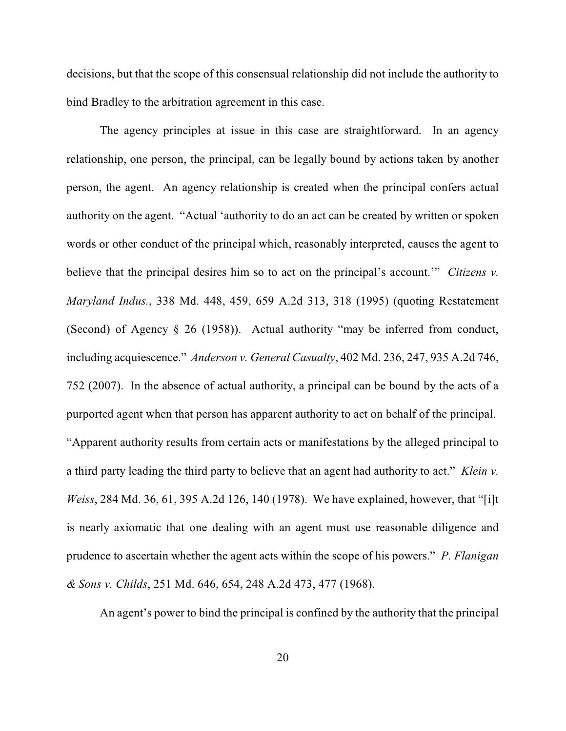decisions, but that the scope of this consensual relationship did not include the authority to bind Bradley to the arbitration agreement in this case.

The agency principles at issue in this case are straightforward. In an agency relationship, one person, the principal, can be legally bound by actions taken by another person, the agent. An agency relationship is created when the principal confers actual authority on the agent. "Actual 'authority to do an act can be created by written or spoken words or other conduct of the principal which, reasonably interpreted, causes the agent to believe that the principal desires him so to act on the principal's account.'" *Citizens v. Maryland Indus.*, 338 Md. 448, 459, 659 A.2d 313, 318 (1995) (quoting Restatement (Second) of Agency § 26 (1958)). Actual authority "may be inferred from conduct, including acquiescence." *Anderson v. General Casualty*, 402 Md. 236, 247, 935 A.2d 746, 752 (2007). In the absence of actual authority, a principal can be bound by the acts of a purported agent when that person has apparent authority to act on behalf of the principal. "Apparent authority results from certain acts or manifestations by the alleged principal to a third party leading the third party to believe that an agent had authority to act." *Klein v. Weiss*, 284 Md. 36, 61, 395 A.2d 126, 140 (1978). We have explained, however, that "[i]t is nearly axiomatic that one dealing with an agent must use reasonable diligence and prudence to ascertain whether the agent acts within the scope of his powers." *P. Flanigan & Sons v. Childs*, 251 Md. 646, 654, 248 A.2d 473, 477 (1968).

An agent's power to bind the principal is confined by the authority that the principal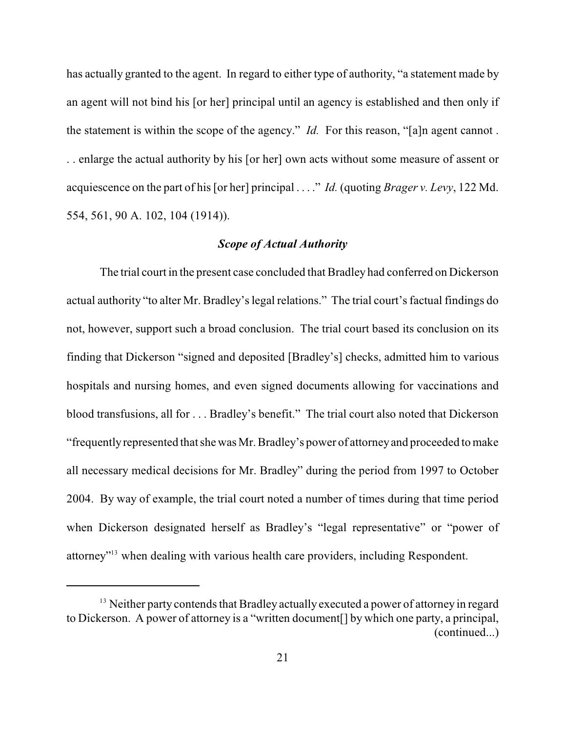has actually granted to the agent. In regard to either type of authority, "a statement made by an agent will not bind his [or her] principal until an agency is established and then only if the statement is within the scope of the agency." *Id.* For this reason, "[a]n agent cannot . . . enlarge the actual authority by his [or her] own acts without some measure of assent or acquiescence on the part of his [or her] principal . . . ." *Id.* (quoting *Brager v. Levy*, 122 Md. 554, 561, 90 A. 102, 104 (1914)).

### *Scope of Actual Authority*

The trial court in the present case concluded that Bradley had conferred on Dickerson actual authority "to alter Mr. Bradley's legal relations." The trial court's factual findings do not, however, support such a broad conclusion. The trial court based its conclusion on its finding that Dickerson "signed and deposited [Bradley's] checks, admitted him to various hospitals and nursing homes, and even signed documents allowing for vaccinations and blood transfusions, all for . . . Bradley's benefit." The trial court also noted that Dickerson "frequentlyrepresented that she was Mr. Bradley's power of attorneyand proceeded to make all necessary medical decisions for Mr. Bradley" during the period from 1997 to October 2004. By way of example, the trial court noted a number of times during that time period when Dickerson designated herself as Bradley's "legal representative" or "power of attorney<sup> $2^{13}$ </sup> when dealing with various health care providers, including Respondent.

 $<sup>13</sup>$  Neither party contends that Bradley actually executed a power of attorney in regard</sup> to Dickerson. A power of attorney is a "written document[] by which one party, a principal, (continued...)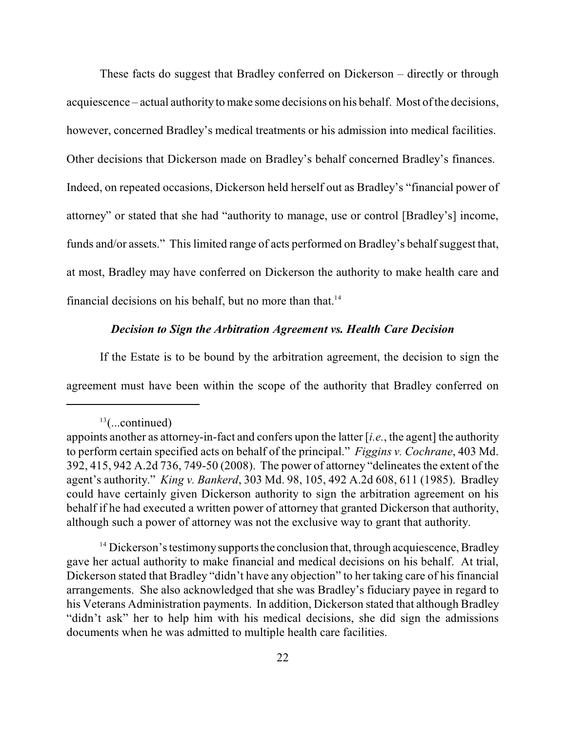These facts do suggest that Bradley conferred on Dickerson – directly or through acquiescence – actual authority to make some decisions on his behalf. Most ofthe decisions, however, concerned Bradley's medical treatments or his admission into medical facilities. Other decisions that Dickerson made on Bradley's behalf concerned Bradley's finances. Indeed, on repeated occasions, Dickerson held herself out as Bradley's "financial power of attorney" or stated that she had "authority to manage, use or control [Bradley's] income, funds and/or assets." This limited range of acts performed on Bradley's behalf suggest that, at most, Bradley may have conferred on Dickerson the authority to make health care and financial decisions on his behalf, but no more than that. $14$ 

### *Decision to Sign the Arbitration Agreement vs. Health Care Decision*

If the Estate is to be bound by the arbitration agreement, the decision to sign the agreement must have been within the scope of the authority that Bradley conferred on

 $13$ (...continued)

appoints another as attorney-in-fact and confers upon the latter [*i.e.*, the agent] the authority to perform certain specified acts on behalf of the principal." *Figgins v. Cochrane*, 403 Md. 392, 415, 942 A.2d 736, 749-50 (2008). The power of attorney "delineates the extent of the agent's authority." *King v. Bankerd*, 303 Md. 98, 105, 492 A.2d 608, 611 (1985). Bradley could have certainly given Dickerson authority to sign the arbitration agreement on his behalf if he had executed a written power of attorney that granted Dickerson that authority, although such a power of attorney was not the exclusive way to grant that authority.

 $14$  Dickerson's testimony supports the conclusion that, through acquiescence, Bradley gave her actual authority to make financial and medical decisions on his behalf. At trial, Dickerson stated that Bradley "didn't have any objection" to her taking care of his financial arrangements. She also acknowledged that she was Bradley's fiduciary payee in regard to his Veterans Administration payments. In addition, Dickerson stated that although Bradley "didn't ask" her to help him with his medical decisions, she did sign the admissions documents when he was admitted to multiple health care facilities.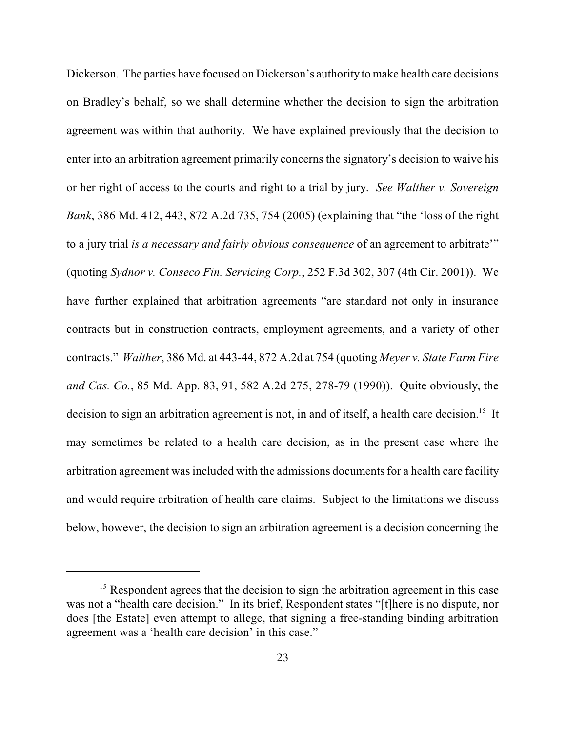Dickerson. The parties have focused on Dickerson's authority to make health care decisions on Bradley's behalf, so we shall determine whether the decision to sign the arbitration agreement was within that authority. We have explained previously that the decision to enter into an arbitration agreement primarily concerns the signatory's decision to waive his or her right of access to the courts and right to a trial by jury. *See Walther v. Sovereign Bank*, 386 Md. 412, 443, 872 A.2d 735, 754 (2005) (explaining that "the 'loss of the right to a jury trial *is a necessary and fairly obvious consequence* of an agreement to arbitrate'" (quoting *Sydnor v. Conseco Fin. Servicing Corp.*, 252 F.3d 302, 307 (4th Cir. 2001)). We have further explained that arbitration agreements "are standard not only in insurance contracts but in construction contracts, employment agreements, and a variety of other contracts." *Walther*, 386 Md. at 443-44, 872 A.2d at 754 (quoting *Meyer v. State Farm Fire and Cas. Co.*, 85 Md. App. 83, 91, 582 A.2d 275, 278-79 (1990)). Quite obviously, the decision to sign an arbitration agreement is not, in and of itself, a health care decision.<sup>15</sup> It may sometimes be related to a health care decision, as in the present case where the arbitration agreement was included with the admissions documents for a health care facility and would require arbitration of health care claims. Subject to the limitations we discuss below, however, the decision to sign an arbitration agreement is a decision concerning the

 $<sup>15</sup>$  Respondent agrees that the decision to sign the arbitration agreement in this case</sup> was not a "health care decision." In its brief, Respondent states "[t]here is no dispute, nor does [the Estate] even attempt to allege, that signing a free-standing binding arbitration agreement was a 'health care decision' in this case."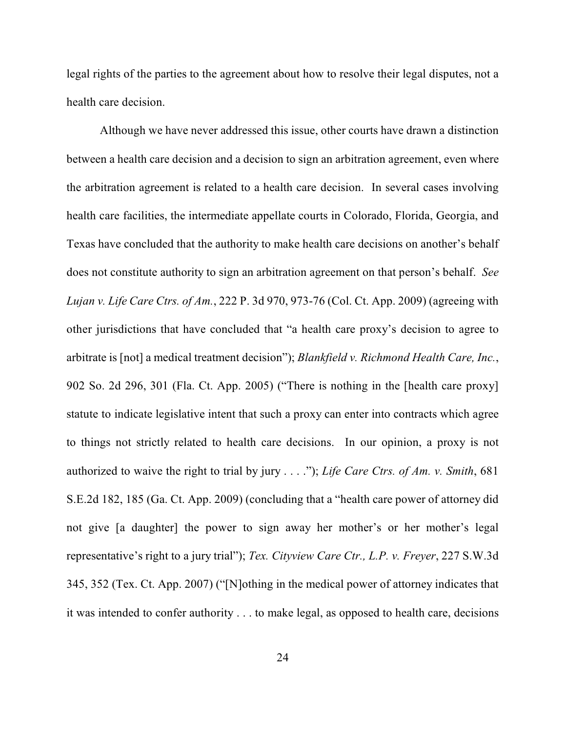legal rights of the parties to the agreement about how to resolve their legal disputes, not a health care decision.

Although we have never addressed this issue, other courts have drawn a distinction between a health care decision and a decision to sign an arbitration agreement, even where the arbitration agreement is related to a health care decision. In several cases involving health care facilities, the intermediate appellate courts in Colorado, Florida, Georgia, and Texas have concluded that the authority to make health care decisions on another's behalf does not constitute authority to sign an arbitration agreement on that person's behalf. *See Lujan v. Life Care Ctrs. of Am.*, 222 P. 3d 970, 973-76 (Col. Ct. App. 2009) (agreeing with other jurisdictions that have concluded that "a health care proxy's decision to agree to arbitrate is [not] a medical treatment decision"); *Blankfield v. Richmond Health Care, Inc.*, 902 So. 2d 296, 301 (Fla. Ct. App. 2005) ("There is nothing in the [health care proxy] statute to indicate legislative intent that such a proxy can enter into contracts which agree to things not strictly related to health care decisions. In our opinion, a proxy is not authorized to waive the right to trial by jury . . . ."); *Life Care Ctrs. of Am. v. Smith*, 681 S.E.2d 182, 185 (Ga. Ct. App. 2009) (concluding that a "health care power of attorney did not give [a daughter] the power to sign away her mother's or her mother's legal representative's right to a jury trial"); *Tex. Cityview Care Ctr., L.P. v. Freyer*, 227 S.W.3d 345, 352 (Tex. Ct. App. 2007) ("[N]othing in the medical power of attorney indicates that it was intended to confer authority . . . to make legal, as opposed to health care, decisions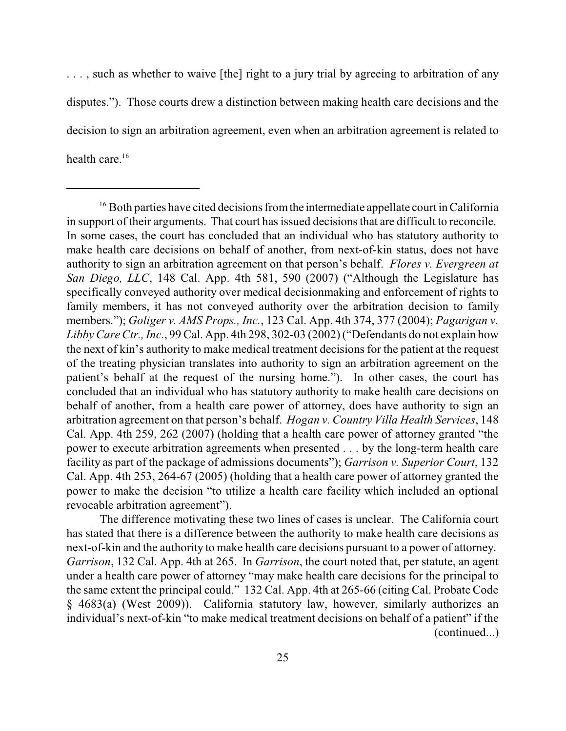..., such as whether to waive [the] right to a jury trial by agreeing to arbitration of any disputes."). Those courts drew a distinction between making health care decisions and the decision to sign an arbitration agreement, even when an arbitration agreement is related to health care.<sup>16</sup>

The difference motivating these two lines of cases is unclear. The California court has stated that there is a difference between the authority to make health care decisions as next-of-kin and the authority to make health care decisions pursuant to a power of attorney. *Garrison*, 132 Cal. App. 4th at 265. In *Garrison*, the court noted that, per statute, an agent under a health care power of attorney "may make health care decisions for the principal to the same extent the principal could." 132 Cal. App. 4th at 265-66 (citing Cal. Probate Code § 4683(a) (West 2009)). California statutory law, however, similarly authorizes an individual's next-of-kin "to make medical treatment decisions on behalf of a patient" if the (continued...)

 $16$  Both parties have cited decisions from the intermediate appellate court in California in support of their arguments. That court has issued decisions that are difficult to reconcile. In some cases, the court has concluded that an individual who has statutory authority to make health care decisions on behalf of another, from next-of-kin status, does not have authority to sign an arbitration agreement on that person's behalf. *Flores v. Evergreen at San Diego, LLC*, 148 Cal. App. 4th 581, 590 (2007) ("Although the Legislature has specifically conveyed authority over medical decisionmaking and enforcement of rights to family members, it has not conveyed authority over the arbitration decision to family members."); *Goliger v. AMS Props., Inc.*, 123 Cal. App. 4th 374, 377 (2004); *Pagarigan v. Libby Care Ctr., Inc.*, 99 Cal. App. 4th 298, 302-03 (2002) ("Defendants do not explain how the next of kin's authority to make medical treatment decisions for the patient at the request of the treating physician translates into authority to sign an arbitration agreement on the patient's behalf at the request of the nursing home."). In other cases, the court has concluded that an individual who has statutory authority to make health care decisions on behalf of another, from a health care power of attorney, does have authority to sign an arbitration agreement on that person's behalf. *Hogan v. Country Villa Health Services*, 148 Cal. App. 4th 259, 262 (2007) (holding that a health care power of attorney granted "the power to execute arbitration agreements when presented . . . by the long-term health care facility as part of the package of admissions documents"); *Garrison v. Superior Court*, 132 Cal. App. 4th 253, 264-67 (2005) (holding that a health care power of attorney granted the power to make the decision "to utilize a health care facility which included an optional revocable arbitration agreement").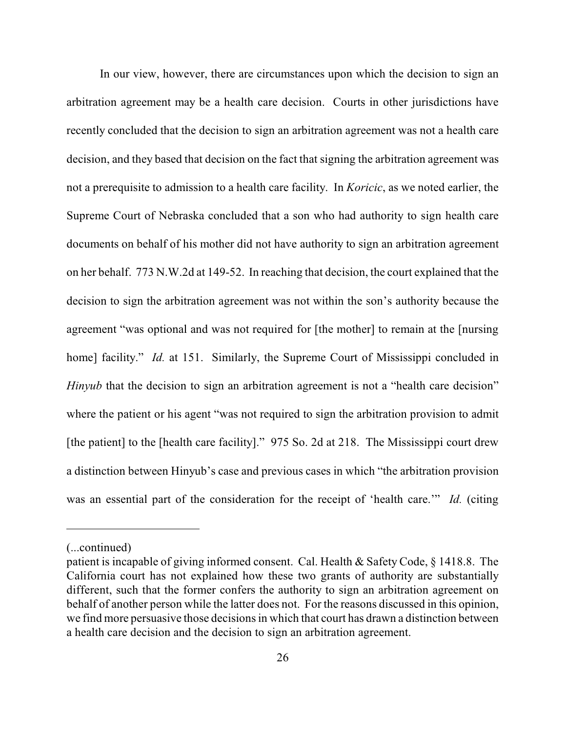In our view, however, there are circumstances upon which the decision to sign an arbitration agreement may be a health care decision. Courts in other jurisdictions have recently concluded that the decision to sign an arbitration agreement was not a health care decision, and they based that decision on the fact that signing the arbitration agreement was not a prerequisite to admission to a health care facility. In *Koricic*, as we noted earlier, the Supreme Court of Nebraska concluded that a son who had authority to sign health care documents on behalf of his mother did not have authority to sign an arbitration agreement on her behalf. 773 N.W.2d at 149-52. In reaching that decision, the court explained that the decision to sign the arbitration agreement was not within the son's authority because the agreement "was optional and was not required for [the mother] to remain at the [nursing home] facility." *Id.* at 151. Similarly, the Supreme Court of Mississippi concluded in *Hinyub* that the decision to sign an arbitration agreement is not a "health care decision" where the patient or his agent "was not required to sign the arbitration provision to admit [the patient] to the [health care facility]." 975 So. 2d at 218. The Mississippi court drew a distinction between Hinyub's case and previous cases in which "the arbitration provision was an essential part of the consideration for the receipt of 'health care.'" *Id.* (citing

<sup>(...</sup>continued)

patient is incapable of giving informed consent. Cal. Health & Safety Code, § 1418.8. The California court has not explained how these two grants of authority are substantially different, such that the former confers the authority to sign an arbitration agreement on behalf of another person while the latter does not. For the reasons discussed in this opinion, we find more persuasive those decisions in which that court has drawn a distinction between a health care decision and the decision to sign an arbitration agreement.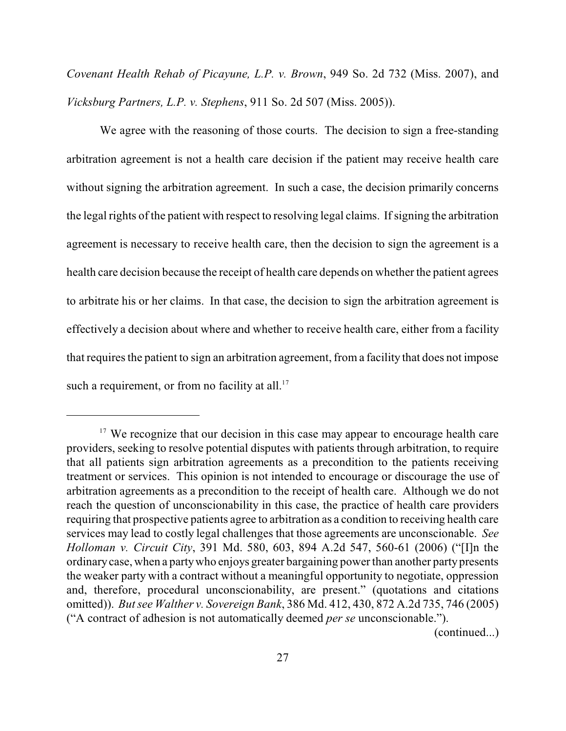*Covenant Health Rehab of Picayune, L.P. v. Brown*, 949 So. 2d 732 (Miss. 2007), and *Vicksburg Partners, L.P. v. Stephens*, 911 So. 2d 507 (Miss. 2005)).

We agree with the reasoning of those courts. The decision to sign a free-standing arbitration agreement is not a health care decision if the patient may receive health care without signing the arbitration agreement. In such a case, the decision primarily concerns the legal rights of the patient with respect to resolving legal claims. If signing the arbitration agreement is necessary to receive health care, then the decision to sign the agreement is a health care decision because the receipt of health care depends on whether the patient agrees to arbitrate his or her claims. In that case, the decision to sign the arbitration agreement is effectively a decision about where and whether to receive health care, either from a facility that requires the patient to sign an arbitration agreement, from a facility that does not impose such a requirement, or from no facility at all. $17$ 

<sup>&</sup>lt;sup>17</sup> We recognize that our decision in this case may appear to encourage health care providers, seeking to resolve potential disputes with patients through arbitration, to require that all patients sign arbitration agreements as a precondition to the patients receiving treatment or services. This opinion is not intended to encourage or discourage the use of arbitration agreements as a precondition to the receipt of health care. Although we do not reach the question of unconscionability in this case, the practice of health care providers requiring that prospective patients agree to arbitration as a condition to receiving health care services may lead to costly legal challenges that those agreements are unconscionable. *See Holloman v. Circuit City*, 391 Md. 580, 603, 894 A.2d 547, 560-61 (2006) ("[I]n the ordinarycase, when a partywho enjoys greater bargaining power than another partypresents the weaker party with a contract without a meaningful opportunity to negotiate, oppression and, therefore, procedural unconscionability, are present." (quotations and citations omitted)). *But see Walther v. Sovereign Bank*, 386 Md. 412, 430, 872 A.2d 735, 746 (2005) ("A contract of adhesion is not automatically deemed *per se* unconscionable.").

<sup>(</sup>continued...)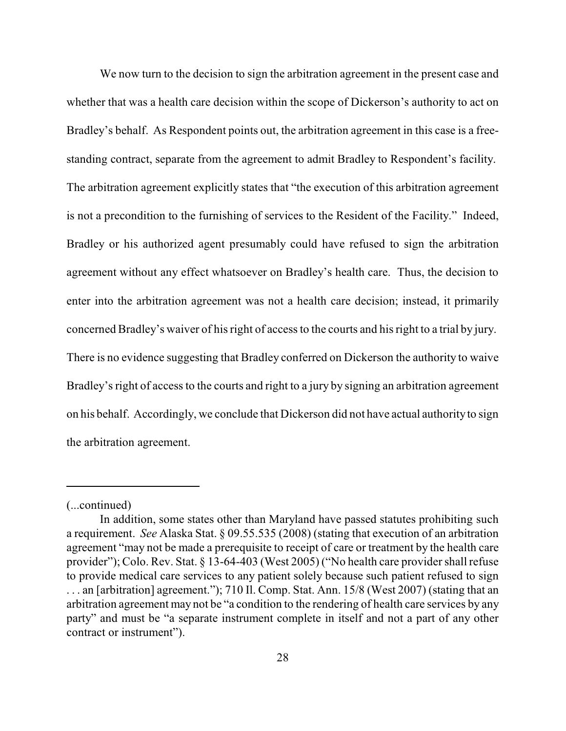We now turn to the decision to sign the arbitration agreement in the present case and whether that was a health care decision within the scope of Dickerson's authority to act on Bradley's behalf. As Respondent points out, the arbitration agreement in this case is a freestanding contract, separate from the agreement to admit Bradley to Respondent's facility. The arbitration agreement explicitly states that "the execution of this arbitration agreement is not a precondition to the furnishing of services to the Resident of the Facility." Indeed, Bradley or his authorized agent presumably could have refused to sign the arbitration agreement without any effect whatsoever on Bradley's health care. Thus, the decision to enter into the arbitration agreement was not a health care decision; instead, it primarily concerned Bradley's waiver of his right of access to the courts and his right to a trial by jury. There is no evidence suggesting that Bradley conferred on Dickerson the authority to waive Bradley's right of access to the courts and right to a jury by signing an arbitration agreement on his behalf. Accordingly, we conclude that Dickerson did not have actual authorityto sign the arbitration agreement.

<sup>(...</sup>continued)

In addition, some states other than Maryland have passed statutes prohibiting such a requirement. *See* Alaska Stat. § 09.55.535 (2008) (stating that execution of an arbitration agreement "may not be made a prerequisite to receipt of care or treatment by the health care provider"); Colo. Rev. Stat. § 13-64-403 (West 2005) ("No health care provider shall refuse to provide medical care services to any patient solely because such patient refused to sign . . . an [arbitration] agreement."); 710 Il. Comp. Stat. Ann. 15/8 (West 2007) (stating that an arbitration agreement may not be "a condition to the rendering of health care services by any party" and must be "a separate instrument complete in itself and not a part of any other contract or instrument").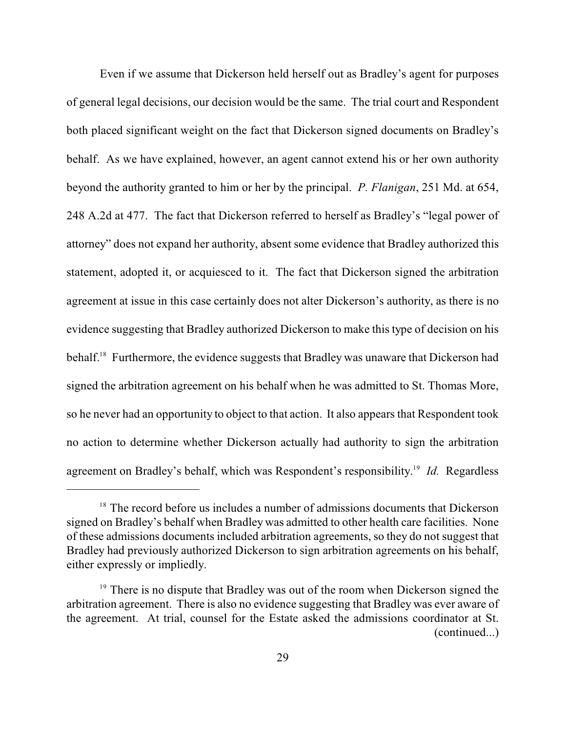Even if we assume that Dickerson held herself out as Bradley's agent for purposes of general legal decisions, our decision would be the same. The trial court and Respondent both placed significant weight on the fact that Dickerson signed documents on Bradley's behalf. As we have explained, however, an agent cannot extend his or her own authority beyond the authority granted to him or her by the principal. *P. Flanigan*, 251 Md. at 654, 248 A.2d at 477. The fact that Dickerson referred to herself as Bradley's "legal power of attorney" does not expand her authority, absent some evidence that Bradley authorized this statement, adopted it, or acquiesced to it. The fact that Dickerson signed the arbitration agreement at issue in this case certainly does not alter Dickerson's authority, as there is no evidence suggesting that Bradley authorized Dickerson to make this type of decision on his behalf.<sup>18</sup> Furthermore, the evidence suggests that Bradley was unaware that Dickerson had signed the arbitration agreement on his behalf when he was admitted to St. Thomas More, so he never had an opportunity to object to that action. It also appears that Respondent took no action to determine whether Dickerson actually had authority to sign the arbitration agreement on Bradley's behalf, which was Respondent's responsibility.<sup>19</sup> Id. Regardless

 $18$  The record before us includes a number of admissions documents that Dickerson signed on Bradley's behalf when Bradley was admitted to other health care facilities. None of these admissions documents included arbitration agreements, so they do not suggest that Bradley had previously authorized Dickerson to sign arbitration agreements on his behalf, either expressly or impliedly.

 $19$  There is no dispute that Bradley was out of the room when Dickerson signed the arbitration agreement. There is also no evidence suggesting that Bradley was ever aware of the agreement. At trial, counsel for the Estate asked the admissions coordinator at St. (continued...)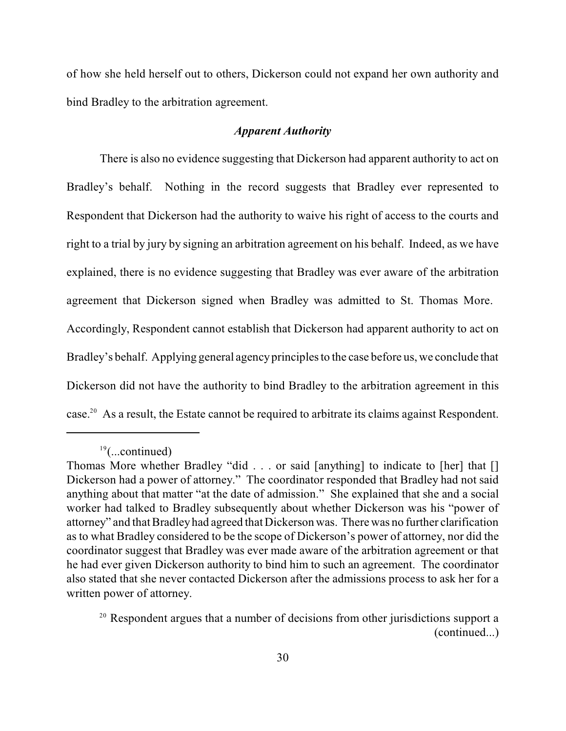of how she held herself out to others, Dickerson could not expand her own authority and bind Bradley to the arbitration agreement.

## *Apparent Authority*

There is also no evidence suggesting that Dickerson had apparent authority to act on Bradley's behalf. Nothing in the record suggests that Bradley ever represented to Respondent that Dickerson had the authority to waive his right of access to the courts and right to a trial by jury by signing an arbitration agreement on his behalf. Indeed, as we have explained, there is no evidence suggesting that Bradley was ever aware of the arbitration agreement that Dickerson signed when Bradley was admitted to St. Thomas More. Accordingly, Respondent cannot establish that Dickerson had apparent authority to act on Bradley's behalf. Applying general agencyprinciples to the case before us, we conclude that Dickerson did not have the authority to bind Bradley to the arbitration agreement in this case.<sup>20</sup> As a result, the Estate cannot be required to arbitrate its claims against Respondent.

 $19$ (...continued)

Thomas More whether Bradley "did . . . or said [anything] to indicate to [her] that [] Dickerson had a power of attorney." The coordinator responded that Bradley had not said anything about that matter "at the date of admission." She explained that she and a social worker had talked to Bradley subsequently about whether Dickerson was his "power of attorney" and that Bradleyhad agreed that Dickerson was. There was no further clarification as to what Bradley considered to be the scope of Dickerson's power of attorney, nor did the coordinator suggest that Bradley was ever made aware of the arbitration agreement or that he had ever given Dickerson authority to bind him to such an agreement. The coordinator also stated that she never contacted Dickerson after the admissions process to ask her for a written power of attorney.

<sup>&</sup>lt;sup>20</sup> Respondent argues that a number of decisions from other jurisdictions support a (continued...)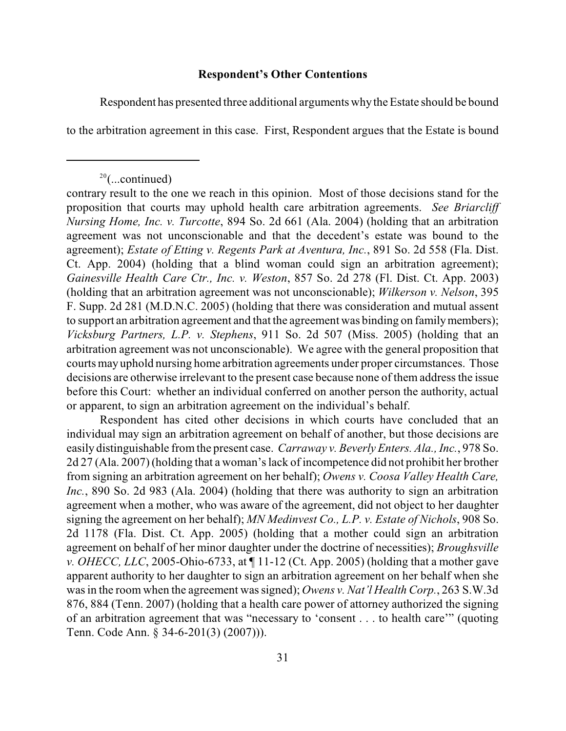## **Respondent's Other Contentions**

Respondent has presented three additional arguments whythe Estate should be bound

to the arbitration agreement in this case. First, Respondent argues that the Estate is bound

Respondent has cited other decisions in which courts have concluded that an individual may sign an arbitration agreement on behalf of another, but those decisions are easily distinguishable from the present case. *Carraway v. Beverly Enters. Ala., Inc.*, 978 So. 2d 27 (Ala. 2007) (holding that a woman's lack of incompetence did not prohibit her brother from signing an arbitration agreement on her behalf); *Owens v. Coosa Valley Health Care, Inc.*, 890 So. 2d 983 (Ala. 2004) (holding that there was authority to sign an arbitration agreement when a mother, who was aware of the agreement, did not object to her daughter signing the agreement on her behalf); *MN Medinvest Co., L.P. v. Estate of Nichols*, 908 So. 2d 1178 (Fla. Dist. Ct. App. 2005) (holding that a mother could sign an arbitration agreement on behalf of her minor daughter under the doctrine of necessities); *Broughsville v. OHECC, LLC*, 2005-Ohio-6733, at  $\P$  11-12 (Ct. App. 2005) (holding that a mother gave apparent authority to her daughter to sign an arbitration agreement on her behalf when she was in the room when the agreement was signed); *Owens v. Nat'l Health Corp.*, 263 S.W.3d 876, 884 (Tenn. 2007) (holding that a health care power of attorney authorized the signing of an arbitration agreement that was "necessary to 'consent . . . to health care'" (quoting Tenn. Code Ann. § 34-6-201(3) (2007))).

 $20$ (...continued)

contrary result to the one we reach in this opinion. Most of those decisions stand for the proposition that courts may uphold health care arbitration agreements. *See Briarcliff Nursing Home, Inc. v. Turcotte*, 894 So. 2d 661 (Ala. 2004) (holding that an arbitration agreement was not unconscionable and that the decedent's estate was bound to the agreement); *Estate of Etting v. Regents Park at Aventura, Inc.*, 891 So. 2d 558 (Fla. Dist. Ct. App. 2004) (holding that a blind woman could sign an arbitration agreement); *Gainesville Health Care Ctr., Inc. v. Weston*, 857 So. 2d 278 (Fl. Dist. Ct. App. 2003) (holding that an arbitration agreement was not unconscionable); *Wilkerson v. Nelson*, 395 F. Supp. 2d 281 (M.D.N.C. 2005) (holding that there was consideration and mutual assent to support an arbitration agreement and that the agreement was binding on familymembers); *Vicksburg Partners, L.P. v. Stephens*, 911 So. 2d 507 (Miss. 2005) (holding that an arbitration agreement was not unconscionable). We agree with the general proposition that courts may uphold nursing home arbitration agreements under proper circumstances. Those decisions are otherwise irrelevant to the present case because none of them address the issue before this Court: whether an individual conferred on another person the authority, actual or apparent, to sign an arbitration agreement on the individual's behalf.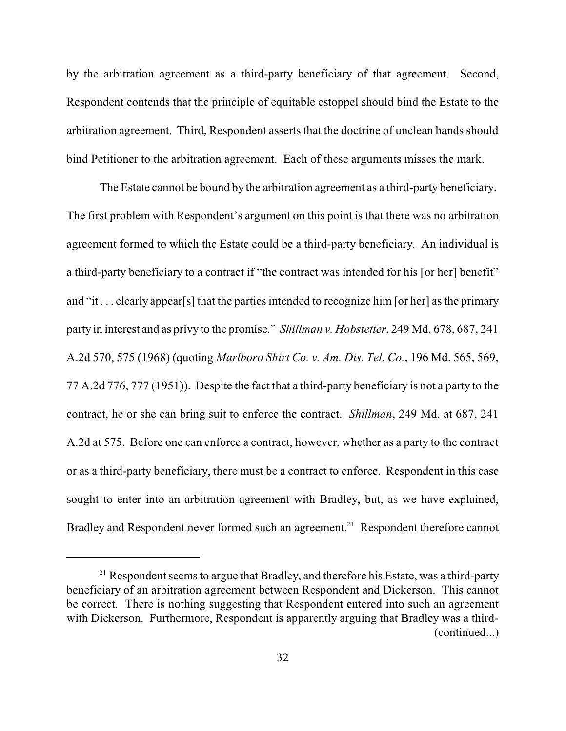by the arbitration agreement as a third-party beneficiary of that agreement. Second, Respondent contends that the principle of equitable estoppel should bind the Estate to the arbitration agreement. Third, Respondent asserts that the doctrine of unclean hands should bind Petitioner to the arbitration agreement. Each of these arguments misses the mark.

The Estate cannot be bound by the arbitration agreement as a third-party beneficiary. The first problem with Respondent's argument on this point is that there was no arbitration agreement formed to which the Estate could be a third-party beneficiary. An individual is a third-party beneficiary to a contract if "the contract was intended for his [or her] benefit" and "it . . . clearly appear[s] that the parties intended to recognize him [or her] as the primary party in interest and as privy to the promise." *Shillman v. Hobstetter*, 249 Md. 678, 687, 241 A.2d 570, 575 (1968) (quoting *Marlboro Shirt Co. v. Am. Dis. Tel. Co.*, 196 Md. 565, 569, 77 A.2d 776, 777 (1951)). Despite the fact that a third-party beneficiary is not a party to the contract, he or she can bring suit to enforce the contract. *Shillman*, 249 Md. at 687, 241 A.2d at 575. Before one can enforce a contract, however, whether as a party to the contract or as a third-party beneficiary, there must be a contract to enforce. Respondent in this case sought to enter into an arbitration agreement with Bradley, but, as we have explained, Bradley and Respondent never formed such an agreement.<sup>21</sup> Respondent therefore cannot

 $21$  Respondent seems to argue that Bradley, and therefore his Estate, was a third-party beneficiary of an arbitration agreement between Respondent and Dickerson. This cannot be correct. There is nothing suggesting that Respondent entered into such an agreement with Dickerson. Furthermore, Respondent is apparently arguing that Bradley was a third-(continued...)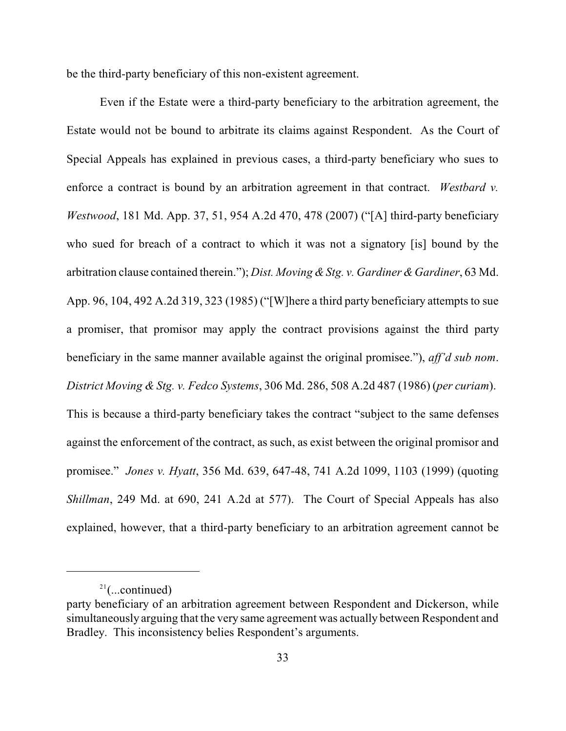be the third-party beneficiary of this non-existent agreement.

Even if the Estate were a third-party beneficiary to the arbitration agreement, the Estate would not be bound to arbitrate its claims against Respondent. As the Court of Special Appeals has explained in previous cases, a third-party beneficiary who sues to enforce a contract is bound by an arbitration agreement in that contract. *Westbard v. Westwood*, 181 Md. App. 37, 51, 954 A.2d 470, 478 (2007) ("[A] third-party beneficiary who sued for breach of a contract to which it was not a signatory [is] bound by the arbitration clause contained therein."); *Dist. Moving & Stg. v. Gardiner & Gardiner*, 63 Md. App. 96, 104, 492 A.2d 319, 323 (1985) ("[W]here a third party beneficiary attempts to sue a promiser, that promisor may apply the contract provisions against the third party beneficiary in the same manner available against the original promisee."), *aff'd sub nom*. *District Moving & Stg. v. Fedco Systems*, 306 Md. 286, 508 A.2d 487 (1986) (*per curiam*). This is because a third-party beneficiary takes the contract "subject to the same defenses against the enforcement of the contract, as such, as exist between the original promisor and promisee." *Jones v. Hyatt*, 356 Md. 639, 647-48, 741 A.2d 1099, 1103 (1999) (quoting *Shillman*, 249 Md. at 690, 241 A.2d at 577). The Court of Special Appeals has also explained, however, that a third-party beneficiary to an arbitration agreement cannot be

 $2^{21}$ (...continued)

party beneficiary of an arbitration agreement between Respondent and Dickerson, while simultaneously arguing that the very same agreement was actually between Respondent and Bradley. This inconsistency belies Respondent's arguments.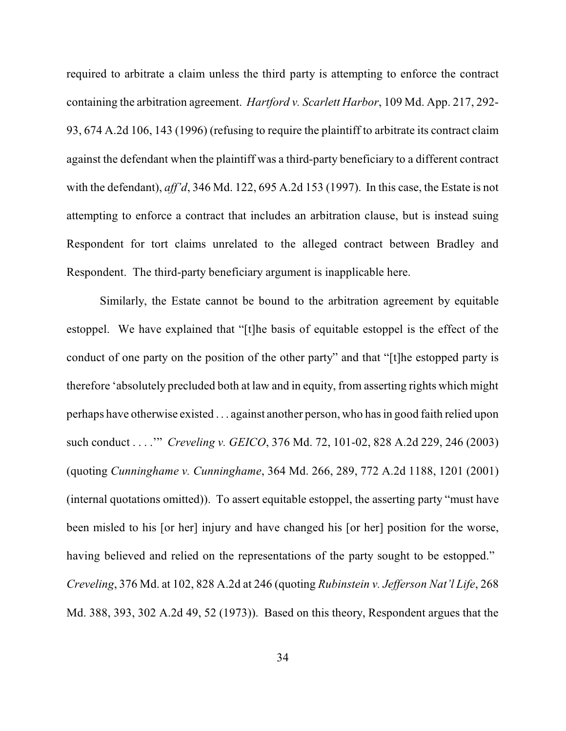required to arbitrate a claim unless the third party is attempting to enforce the contract containing the arbitration agreement. *Hartford v. Scarlett Harbor*, 109 Md. App. 217, 292- 93, 674 A.2d 106, 143 (1996) (refusing to require the plaintiff to arbitrate its contract claim against the defendant when the plaintiff was a third-party beneficiary to a different contract with the defendant), *aff'd*, 346 Md. 122, 695 A.2d 153 (1997). In this case, the Estate is not attempting to enforce a contract that includes an arbitration clause, but is instead suing Respondent for tort claims unrelated to the alleged contract between Bradley and Respondent. The third-party beneficiary argument is inapplicable here.

Similarly, the Estate cannot be bound to the arbitration agreement by equitable estoppel. We have explained that "[t]he basis of equitable estoppel is the effect of the conduct of one party on the position of the other party" and that "[t]he estopped party is therefore 'absolutely precluded both at law and in equity, from asserting rights which might perhaps have otherwise existed . . . against another person, who has in good faith relied upon such conduct . . . .'" *Creveling v. GEICO*, 376 Md. 72, 101-02, 828 A.2d 229, 246 (2003) (quoting *Cunninghame v. Cunninghame*, 364 Md. 266, 289, 772 A.2d 1188, 1201 (2001) (internal quotations omitted)). To assert equitable estoppel, the asserting party "must have been misled to his [or her] injury and have changed his [or her] position for the worse, having believed and relied on the representations of the party sought to be estopped." *Creveling*, 376 Md. at 102, 828 A.2d at 246 (quoting *Rubinstein v. Jefferson Nat'l Life*, 268 Md. 388, 393, 302 A.2d 49, 52 (1973)). Based on this theory, Respondent argues that the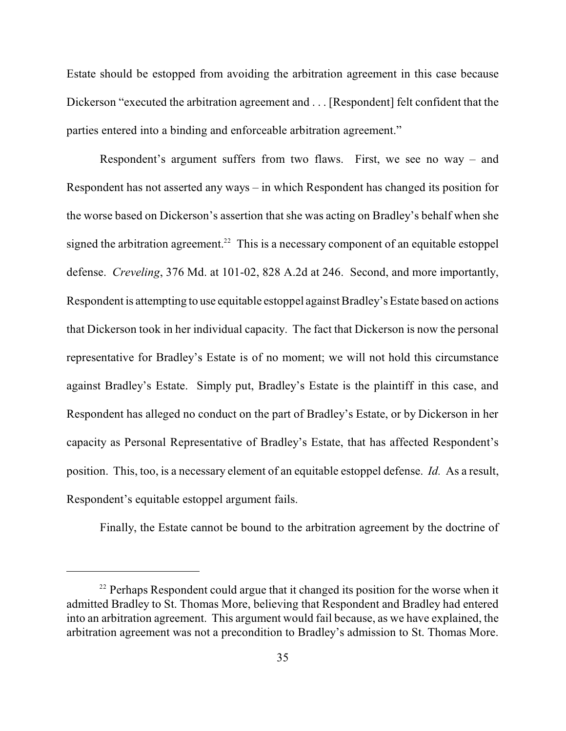Estate should be estopped from avoiding the arbitration agreement in this case because Dickerson "executed the arbitration agreement and . . . [Respondent] felt confident that the parties entered into a binding and enforceable arbitration agreement."

Respondent's argument suffers from two flaws. First, we see no way – and Respondent has not asserted any ways – in which Respondent has changed its position for the worse based on Dickerson's assertion that she was acting on Bradley's behalf when she signed the arbitration agreement.<sup>22</sup> This is a necessary component of an equitable estoppel defense. *Creveling*, 376 Md. at 101-02, 828 A.2d at 246. Second, and more importantly, Respondent is attempting to use equitable estoppel against Bradley's Estate based on actions that Dickerson took in her individual capacity. The fact that Dickerson is now the personal representative for Bradley's Estate is of no moment; we will not hold this circumstance against Bradley's Estate. Simply put, Bradley's Estate is the plaintiff in this case, and Respondent has alleged no conduct on the part of Bradley's Estate, or by Dickerson in her capacity as Personal Representative of Bradley's Estate, that has affected Respondent's position. This, too, is a necessary element of an equitable estoppel defense. *Id.* As a result, Respondent's equitable estoppel argument fails.

Finally, the Estate cannot be bound to the arbitration agreement by the doctrine of

 $22$  Perhaps Respondent could argue that it changed its position for the worse when it admitted Bradley to St. Thomas More, believing that Respondent and Bradley had entered into an arbitration agreement. This argument would fail because, as we have explained, the arbitration agreement was not a precondition to Bradley's admission to St. Thomas More.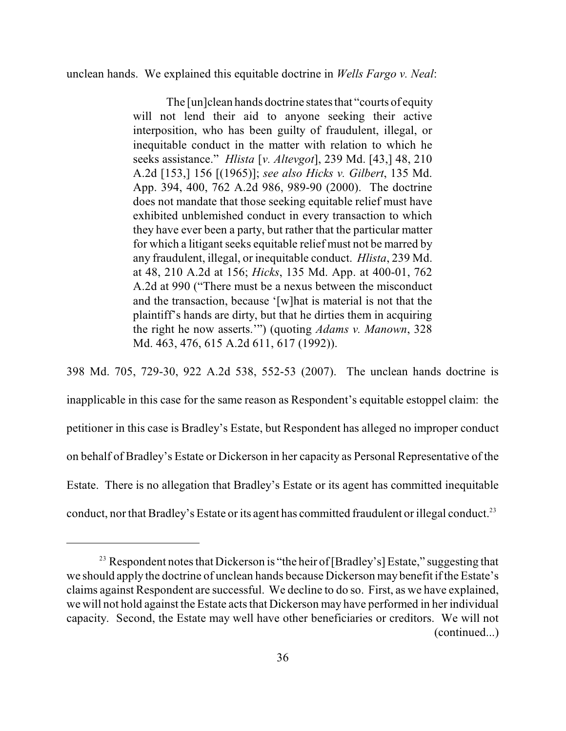unclean hands. We explained this equitable doctrine in *Wells Fargo v. Neal*:

The [un]clean hands doctrine states that "courts of equity will not lend their aid to anyone seeking their active interposition, who has been guilty of fraudulent, illegal, or inequitable conduct in the matter with relation to which he seeks assistance." *Hlista* [*v. Altevgot*], 239 Md. [43,] 48, 210 A.2d [153,] 156 [(1965)]; *see also Hicks v. Gilbert*, 135 Md. App. 394, 400, 762 A.2d 986, 989-90 (2000). The doctrine does not mandate that those seeking equitable relief must have exhibited unblemished conduct in every transaction to which they have ever been a party, but rather that the particular matter for which a litigant seeks equitable relief must not be marred by any fraudulent, illegal, or inequitable conduct. *Hlista*, 239 Md. at 48, 210 A.2d at 156; *Hicks*, 135 Md. App. at 400-01, 762 A.2d at 990 ("There must be a nexus between the misconduct and the transaction, because '[w]hat is material is not that the plaintiff's hands are dirty, but that he dirties them in acquiring the right he now asserts.'") (quoting *Adams v. Manown*, 328 Md. 463, 476, 615 A.2d 611, 617 (1992)).

398 Md. 705, 729-30, 922 A.2d 538, 552-53 (2007). The unclean hands doctrine is inapplicable in this case for the same reason as Respondent's equitable estoppel claim: the petitioner in this case is Bradley's Estate, but Respondent has alleged no improper conduct on behalf of Bradley's Estate or Dickerson in her capacity as Personal Representative of the Estate. There is no allegation that Bradley's Estate or its agent has committed inequitable conduct, nor that Bradley's Estate or its agent has committed fraudulent or illegal conduct.<sup>23</sup>

<sup>&</sup>lt;sup>23</sup> Respondent notes that Dickerson is "the heir of [Bradley's] Estate," suggesting that we should apply the doctrine of unclean hands because Dickerson may benefit if the Estate's claims against Respondent are successful. We decline to do so. First, as we have explained, we will not hold against the Estate acts that Dickerson may have performed in her individual capacity. Second, the Estate may well have other beneficiaries or creditors. We will not (continued...)